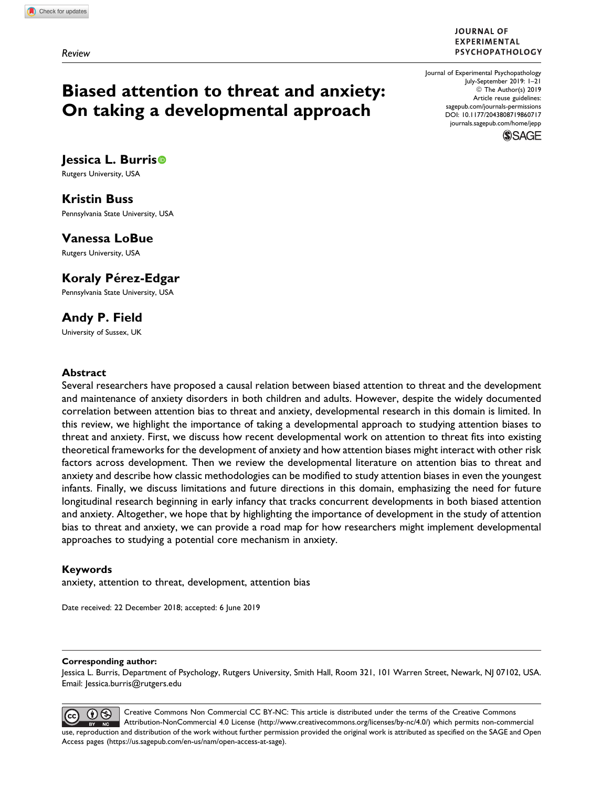#### **JOURNAL OF EXPERIMENTAL** PSYCHOPATHOLOGY

# Biased attention to threat and anxiety: On taking a developmental approach

Journal of Experimental Psychopathology July-September 2019: 1–21 © The Author(s) 2019 Article reuse guidelines: [sagepub.com/journals-permissions](https://sagepub.com/journals-permissions) [DOI: 10.1177/2043808719860717](https://doi.org/10.1177/2043808719860717) [journals.sagepub.com/home/jepp](http://journals.sagepub.com/home/epp)



## lessica L. Burris<sup>®</sup>

Rutgers University, USA

# Kristin Buss

Pennsylvania State University, USA

## Vanessa LoBue

Rutgers University, USA

## Koraly Pérez-Edgar

Pennsylvania State University, USA

## Andy P. Field

University of Sussex, UK

### Abstract

Several researchers have proposed a causal relation between biased attention to threat and the development and maintenance of anxiety disorders in both children and adults. However, despite the widely documented correlation between attention bias to threat and anxiety, developmental research in this domain is limited. In this review, we highlight the importance of taking a developmental approach to studying attention biases to threat and anxiety. First, we discuss how recent developmental work on attention to threat fits into existing theoretical frameworks for the development of anxiety and how attention biases might interact with other risk factors across development. Then we review the developmental literature on attention bias to threat and anxiety and describe how classic methodologies can be modified to study attention biases in even the youngest infants. Finally, we discuss limitations and future directions in this domain, emphasizing the need for future longitudinal research beginning in early infancy that tracks concurrent developments in both biased attention and anxiety. Altogether, we hope that by highlighting the importance of development in the study of attention bias to threat and anxiety, we can provide a road map for how researchers might implement developmental approaches to studying a potential core mechanism in anxiety.

### Keywords

anxiety, attention to threat, development, attention bias

Date received: 22 December 2018; accepted: 6 June 2019

#### Corresponding author:

Jessica L. Burris, Department of Psychology, Rutgers University, Smith Hall, Room 321, 101 Warren Street, Newark, NJ 07102, USA. Email: [Jessica.burris@rutgers.edu](mailto:Jessica.burris@rutgers.edu)

Creative Commons Non Commercial CC BY-NC: This article is distributed under the terms of the Creative Commons  $\odot\otimes$ Attribution-NonCommercial 4.0 License (http://www.creativecommons.org/licenses/by-nc/4.0/) which permits non-commercial use, reproduction and distribution of the work without further permission provided the original work is attributed as specified on the SAGE and Open Access pages (https://us.sagepub.com/en-us/nam/open-access-at-sage).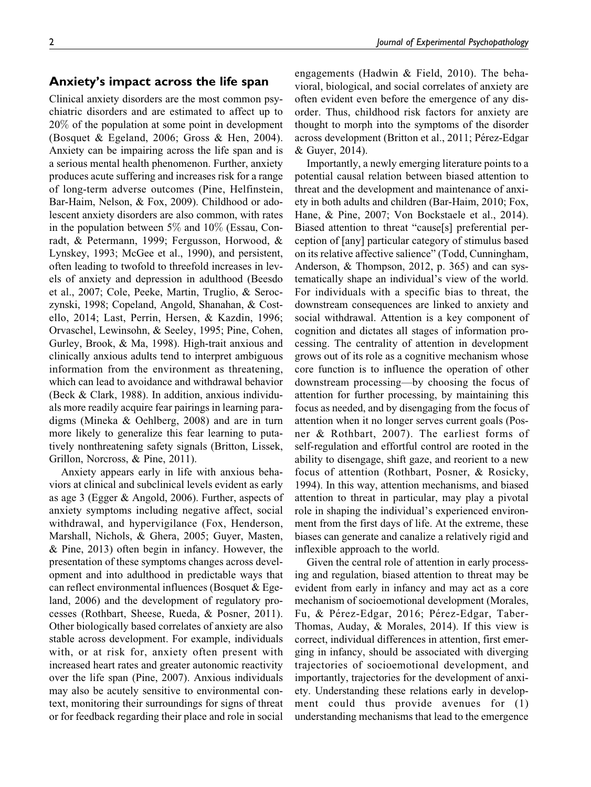#### Anxiety's impact across the life span

Clinical anxiety disorders are the most common psychiatric disorders and are estimated to affect up to 20% of the population at some point in development (Bosquet & Egeland, 2006; Gross & Hen, 2004). Anxiety can be impairing across the life span and is a serious mental health phenomenon. Further, anxiety produces acute suffering and increases risk for a range of long-term adverse outcomes (Pine, Helfinstein, Bar-Haim, Nelson, & Fox, 2009). Childhood or adolescent anxiety disorders are also common, with rates in the population between  $5\%$  and  $10\%$  (Essau, Conradt, & Petermann, 1999; Fergusson, Horwood, & Lynskey, 1993; McGee et al., 1990), and persistent, often leading to twofold to threefold increases in levels of anxiety and depression in adulthood (Beesdo et al., 2007; Cole, Peeke, Martin, Truglio, & Seroczynski, 1998; Copeland, Angold, Shanahan, & Costello, 2014; Last, Perrin, Hersen, & Kazdin, 1996; Orvaschel, Lewinsohn, & Seeley, 1995; Pine, Cohen, Gurley, Brook, & Ma, 1998). High-trait anxious and clinically anxious adults tend to interpret ambiguous information from the environment as threatening, which can lead to avoidance and withdrawal behavior (Beck & Clark, 1988). In addition, anxious individuals more readily acquire fear pairings in learning paradigms (Mineka & Oehlberg, 2008) and are in turn more likely to generalize this fear learning to putatively nonthreatening safety signals (Britton, Lissek, Grillon, Norcross, & Pine, 2011).

Anxiety appears early in life with anxious behaviors at clinical and subclinical levels evident as early as age 3 (Egger & Angold, 2006). Further, aspects of anxiety symptoms including negative affect, social withdrawal, and hypervigilance (Fox, Henderson, Marshall, Nichols, & Ghera, 2005; Guyer, Masten, & Pine, 2013) often begin in infancy. However, the presentation of these symptoms changes across development and into adulthood in predictable ways that can reflect environmental influences (Bosquet & Egeland, 2006) and the development of regulatory processes (Rothbart, Sheese, Rueda, & Posner, 2011). Other biologically based correlates of anxiety are also stable across development. For example, individuals with, or at risk for, anxiety often present with increased heart rates and greater autonomic reactivity over the life span (Pine, 2007). Anxious individuals may also be acutely sensitive to environmental context, monitoring their surroundings for signs of threat or for feedback regarding their place and role in social engagements (Hadwin & Field, 2010). The behavioral, biological, and social correlates of anxiety are often evident even before the emergence of any disorder. Thus, childhood risk factors for anxiety are thought to morph into the symptoms of the disorder across development (Britton et al., 2011; Pérez-Edgar & Guyer, 2014).

Importantly, a newly emerging literature points to a potential causal relation between biased attention to threat and the development and maintenance of anxiety in both adults and children (Bar-Haim, 2010; Fox, Hane, & Pine, 2007; Von Bockstaele et al., 2014). Biased attention to threat "cause[s] preferential perception of [any] particular category of stimulus based on its relative affective salience" (Todd, Cunningham, Anderson, & Thompson, 2012, p. 365) and can systematically shape an individual's view of the world. For individuals with a specific bias to threat, the downstream consequences are linked to anxiety and social withdrawal. Attention is a key component of cognition and dictates all stages of information processing. The centrality of attention in development grows out of its role as a cognitive mechanism whose core function is to influence the operation of other downstream processing—by choosing the focus of attention for further processing, by maintaining this focus as needed, and by disengaging from the focus of attention when it no longer serves current goals (Posner & Rothbart, 2007). The earliest forms of self-regulation and effortful control are rooted in the ability to disengage, shift gaze, and reorient to a new focus of attention (Rothbart, Posner, & Rosicky, 1994). In this way, attention mechanisms, and biased attention to threat in particular, may play a pivotal role in shaping the individual's experienced environment from the first days of life. At the extreme, these biases can generate and canalize a relatively rigid and inflexible approach to the world.

Given the central role of attention in early processing and regulation, biased attention to threat may be evident from early in infancy and may act as a core mechanism of socioemotional development (Morales, Fu, & Pérez-Edgar, 2016; Pérez-Edgar, Taber-Thomas, Auday, & Morales, 2014). If this view is correct, individual differences in attention, first emerging in infancy, should be associated with diverging trajectories of socioemotional development, and importantly, trajectories for the development of anxiety. Understanding these relations early in development could thus provide avenues for (1) understanding mechanisms that lead to the emergence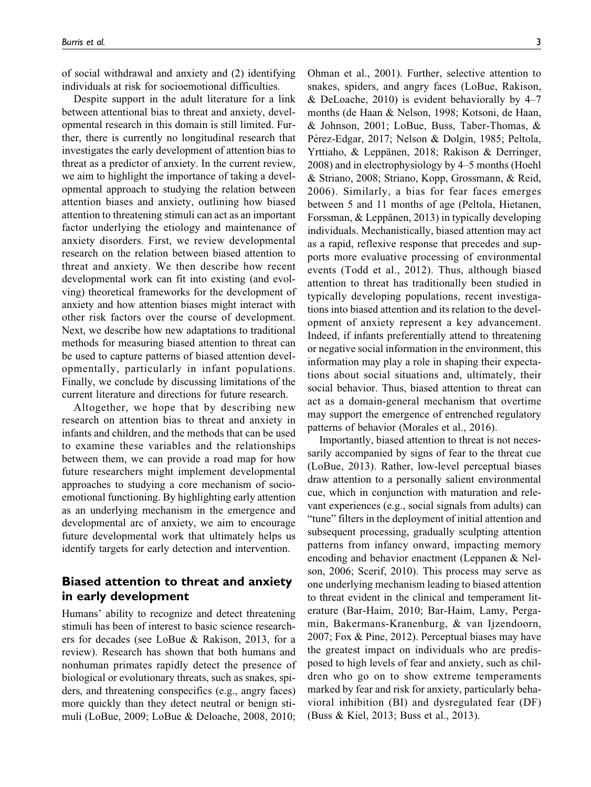of social withdrawal and anxiety and (2) identifying individuals at risk for socioemotional difficulties.

Despite support in the adult literature for a link between attentional bias to threat and anxiety, developmental research in this domain is still limited. Further, there is currently no longitudinal research that investigates the early development of attention bias to threat as a predictor of anxiety. In the current review, we aim to highlight the importance of taking a developmental approach to studying the relation between attention biases and anxiety, outlining how biased attention to threatening stimuli can act as an important factor underlying the etiology and maintenance of anxiety disorders. First, we review developmental research on the relation between biased attention to threat and anxiety. We then describe how recent developmental work can fit into existing (and evolving) theoretical frameworks for the development of anxiety and how attention biases might interact with other risk factors over the course of development. Next, we describe how new adaptations to traditional methods for measuring biased attention to threat can be used to capture patterns of biased attention developmentally, particularly in infant populations. Finally, we conclude by discussing limitations of the current literature and directions for future research.

Altogether, we hope that by describing new research on attention bias to threat and anxiety in infants and children, and the methods that can be used to examine these variables and the relationships between them, we can provide a road map for how future researchers might implement developmental approaches to studying a core mechanism of socioemotional functioning. By highlighting early attention as an underlying mechanism in the emergence and developmental arc of anxiety, we aim to encourage future developmental work that ultimately helps us identify targets for early detection and intervention.

## Biased attention to threat and anxiety in early development

Humans' ability to recognize and detect threatening stimuli has been of interest to basic science researchers for decades (see LoBue & Rakison, 2013, for a review). Research has shown that both humans and nonhuman primates rapidly detect the presence of biological or evolutionary threats, such as snakes, spiders, and threatening conspecifics (e.g., angry faces) more quickly than they detect neutral or benign stimuli (LoBue, 2009; LoBue & Deloache, 2008, 2010;

Ohman et al., 2001). Further, selective attention to snakes, spiders, and angry faces (LoBue, Rakison, & DeLoache,  $2010$ ) is evident behaviorally by  $4-7$ months (de Haan & Nelson, 1998; Kotsoni, de Haan, & Johnson, 2001; LoBue, Buss, Taber-Thomas, & Pérez-Edgar, 2017; Nelson & Dolgin, 1985; Peltola, Yrttiaho, & Leppänen, 2018; Rakison & Derringer, 2008) and in electrophysiology by 4–5 months (Hoehl & Striano, 2008; Striano, Kopp, Grossmann, & Reid, 2006). Similarly, a bias for fear faces emerges between 5 and 11 months of age (Peltola, Hietanen, Forssman, & Leppänen, 2013) in typically developing individuals. Mechanistically, biased attention may act as a rapid, reflexive response that precedes and supports more evaluative processing of environmental events (Todd et al., 2012). Thus, although biased attention to threat has traditionally been studied in typically developing populations, recent investigations into biased attention and its relation to the development of anxiety represent a key advancement. Indeed, if infants preferentially attend to threatening or negative social information in the environment, this information may play a role in shaping their expectations about social situations and, ultimately, their social behavior. Thus, biased attention to threat can act as a domain-general mechanism that overtime may support the emergence of entrenched regulatory patterns of behavior (Morales et al., 2016).

Importantly, biased attention to threat is not necessarily accompanied by signs of fear to the threat cue (LoBue, 2013). Rather, low-level perceptual biases draw attention to a personally salient environmental cue, which in conjunction with maturation and relevant experiences (e.g., social signals from adults) can "tune" filters in the deployment of initial attention and subsequent processing, gradually sculpting attention patterns from infancy onward, impacting memory encoding and behavior enactment (Leppanen & Nelson, 2006; Scerif, 2010). This process may serve as one underlying mechanism leading to biased attention to threat evident in the clinical and temperament literature (Bar-Haim, 2010; Bar-Haim, Lamy, Pergamin, Bakermans-Kranenburg, & van Ijzendoorn, 2007; Fox & Pine, 2012). Perceptual biases may have the greatest impact on individuals who are predisposed to high levels of fear and anxiety, such as children who go on to show extreme temperaments marked by fear and risk for anxiety, particularly behavioral inhibition (BI) and dysregulated fear (DF) (Buss & Kiel, 2013; Buss et al., 2013).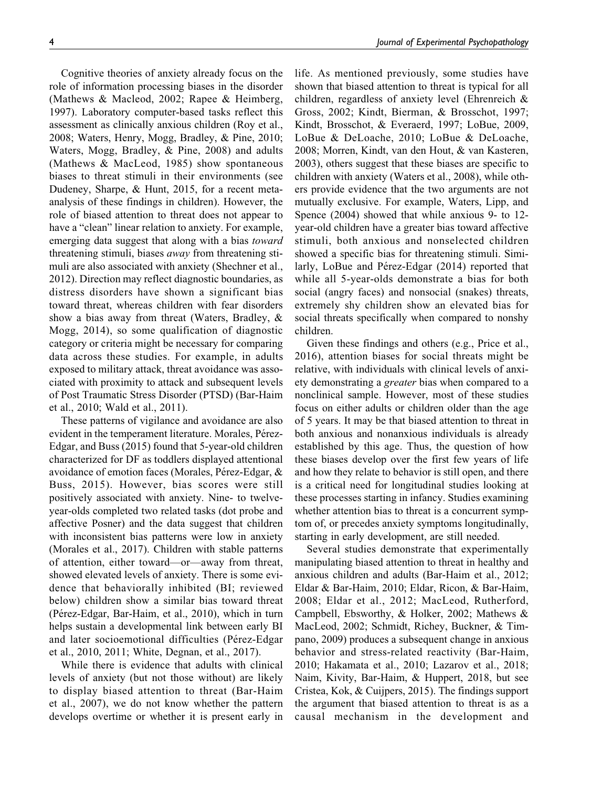Cognitive theories of anxiety already focus on the role of information processing biases in the disorder (Mathews & Macleod, 2002; Rapee & Heimberg, 1997). Laboratory computer-based tasks reflect this assessment as clinically anxious children (Roy et al., 2008; Waters, Henry, Mogg, Bradley, & Pine, 2010; Waters, Mogg, Bradley, & Pine, 2008) and adults (Mathews & MacLeod, 1985) show spontaneous biases to threat stimuli in their environments (see Dudeney, Sharpe, & Hunt, 2015, for a recent metaanalysis of these findings in children). However, the role of biased attention to threat does not appear to have a "clean" linear relation to anxiety. For example, emerging data suggest that along with a bias *toward* threatening stimuli, biases away from threatening stimuli are also associated with anxiety (Shechner et al., 2012). Direction may reflect diagnostic boundaries, as distress disorders have shown a significant bias toward threat, whereas children with fear disorders show a bias away from threat (Waters, Bradley, & Mogg, 2014), so some qualification of diagnostic category or criteria might be necessary for comparing data across these studies. For example, in adults exposed to military attack, threat avoidance was associated with proximity to attack and subsequent levels of Post Traumatic Stress Disorder (PTSD) (Bar-Haim et al., 2010; Wald et al., 2011).

These patterns of vigilance and avoidance are also evident in the temperament literature. Morales, Pérez-Edgar, and Buss (2015) found that 5-year-old children characterized for DF as toddlers displayed attentional avoidance of emotion faces (Morales, Pérez-Edgar,  $\&$ Buss, 2015). However, bias scores were still positively associated with anxiety. Nine- to twelveyear-olds completed two related tasks (dot probe and affective Posner) and the data suggest that children with inconsistent bias patterns were low in anxiety (Morales et al., 2017). Children with stable patterns of attention, either toward—or—away from threat, showed elevated levels of anxiety. There is some evidence that behaviorally inhibited (BI; reviewed below) children show a similar bias toward threat (Pérez-Edgar, Bar-Haim, et al., 2010), which in turn helps sustain a developmental link between early BI and later socioemotional difficulties (Pérez-Edgar et al., 2010, 2011; White, Degnan, et al., 2017).

While there is evidence that adults with clinical levels of anxiety (but not those without) are likely to display biased attention to threat (Bar-Haim et al., 2007), we do not know whether the pattern develops overtime or whether it is present early in life. As mentioned previously, some studies have shown that biased attention to threat is typical for all children, regardless of anxiety level (Ehrenreich & Gross, 2002; Kindt, Bierman, & Brosschot, 1997; Kindt, Brosschot, & Everaerd, 1997; LoBue, 2009, LoBue & DeLoache, 2010; LoBue & DeLoache, 2008; Morren, Kindt, van den Hout, & van Kasteren, 2003), others suggest that these biases are specific to children with anxiety (Waters et al., 2008), while others provide evidence that the two arguments are not mutually exclusive. For example, Waters, Lipp, and Spence (2004) showed that while anxious 9- to 12 year-old children have a greater bias toward affective stimuli, both anxious and nonselected children showed a specific bias for threatening stimuli. Similarly, LoBue and Pérez-Edgar (2014) reported that while all 5-year-olds demonstrate a bias for both social (angry faces) and nonsocial (snakes) threats, extremely shy children show an elevated bias for social threats specifically when compared to nonshy children.

Given these findings and others (e.g., Price et al., 2016), attention biases for social threats might be relative, with individuals with clinical levels of anxiety demonstrating a *greater* bias when compared to a nonclinical sample. However, most of these studies focus on either adults or children older than the age of 5 years. It may be that biased attention to threat in both anxious and nonanxious individuals is already established by this age. Thus, the question of how these biases develop over the first few years of life and how they relate to behavior is still open, and there is a critical need for longitudinal studies looking at these processes starting in infancy. Studies examining whether attention bias to threat is a concurrent symptom of, or precedes anxiety symptoms longitudinally, starting in early development, are still needed.

Several studies demonstrate that experimentally manipulating biased attention to threat in healthy and anxious children and adults (Bar-Haim et al., 2012; Eldar & Bar-Haim, 2010; Eldar, Ricon, & Bar-Haim, 2008; Eldar et al., 2012; MacLeod, Rutherford, Campbell, Ebsworthy, & Holker, 2002; Mathews & MacLeod, 2002; Schmidt, Richey, Buckner, & Timpano, 2009) produces a subsequent change in anxious behavior and stress-related reactivity (Bar-Haim, 2010; Hakamata et al., 2010; Lazarov et al., 2018; Naim, Kivity, Bar-Haim, & Huppert, 2018, but see Cristea, Kok, & Cuijpers, 2015). The findings support the argument that biased attention to threat is as a causal mechanism in the development and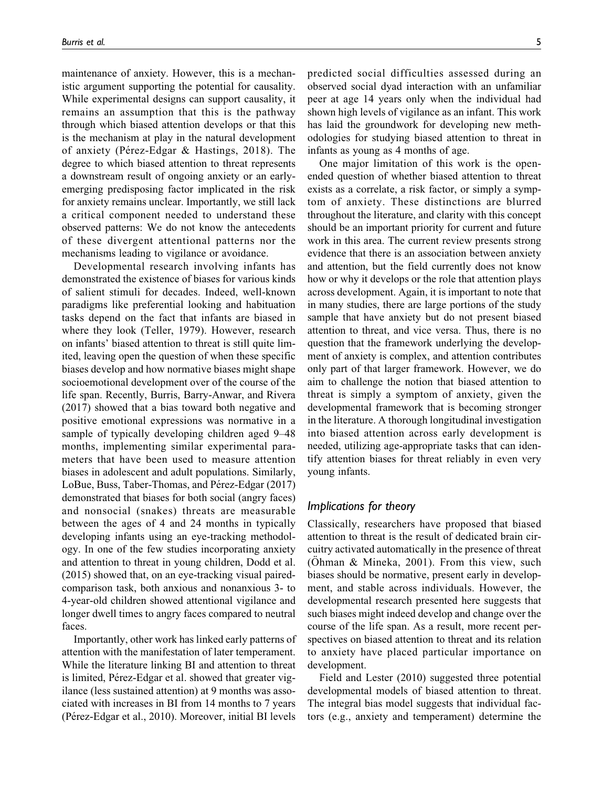maintenance of anxiety. However, this is a mechanistic argument supporting the potential for causality. While experimental designs can support causality, it remains an assumption that this is the pathway through which biased attention develops or that this is the mechanism at play in the natural development of anxiety (Pérez-Edgar & Hastings, 2018). The degree to which biased attention to threat represents a downstream result of ongoing anxiety or an earlyemerging predisposing factor implicated in the risk for anxiety remains unclear. Importantly, we still lack a critical component needed to understand these observed patterns: We do not know the antecedents of these divergent attentional patterns nor the mechanisms leading to vigilance or avoidance.

Developmental research involving infants has demonstrated the existence of biases for various kinds of salient stimuli for decades. Indeed, well-known paradigms like preferential looking and habituation tasks depend on the fact that infants are biased in where they look (Teller, 1979). However, research on infants' biased attention to threat is still quite limited, leaving open the question of when these specific biases develop and how normative biases might shape socioemotional development over of the course of the life span. Recently, Burris, Barry-Anwar, and Rivera (2017) showed that a bias toward both negative and positive emotional expressions was normative in a sample of typically developing children aged 9–48 months, implementing similar experimental parameters that have been used to measure attention biases in adolescent and adult populations. Similarly, LoBue, Buss, Taber-Thomas, and Pérez-Edgar (2017) demonstrated that biases for both social (angry faces) and nonsocial (snakes) threats are measurable between the ages of 4 and 24 months in typically developing infants using an eye-tracking methodology. In one of the few studies incorporating anxiety and attention to threat in young children, Dodd et al. (2015) showed that, on an eye-tracking visual pairedcomparison task, both anxious and nonanxious 3- to 4-year-old children showed attentional vigilance and longer dwell times to angry faces compared to neutral faces.

Importantly, other work has linked early patterns of attention with the manifestation of later temperament. While the literature linking BI and attention to threat is limited, Pérez-Edgar et al. showed that greater vigilance (less sustained attention) at 9 months was associated with increases in BI from 14 months to 7 years (Pérez-Edgar et al., 2010). Moreover, initial BI levels

predicted social difficulties assessed during an observed social dyad interaction with an unfamiliar peer at age 14 years only when the individual had shown high levels of vigilance as an infant. This work has laid the groundwork for developing new methodologies for studying biased attention to threat in infants as young as 4 months of age.

One major limitation of this work is the openended question of whether biased attention to threat exists as a correlate, a risk factor, or simply a symptom of anxiety. These distinctions are blurred throughout the literature, and clarity with this concept should be an important priority for current and future work in this area. The current review presents strong evidence that there is an association between anxiety and attention, but the field currently does not know how or why it develops or the role that attention plays across development. Again, it is important to note that in many studies, there are large portions of the study sample that have anxiety but do not present biased attention to threat, and vice versa. Thus, there is no question that the framework underlying the development of anxiety is complex, and attention contributes only part of that larger framework. However, we do aim to challenge the notion that biased attention to threat is simply a symptom of anxiety, given the developmental framework that is becoming stronger in the literature. A thorough longitudinal investigation into biased attention across early development is needed, utilizing age-appropriate tasks that can identify attention biases for threat reliably in even very young infants.

#### Implications for theory

Classically, researchers have proposed that biased attention to threat is the result of dedicated brain circuitry activated automatically in the presence of threat (Ohman & Mineka, 2001). From this view, such biases should be normative, present early in development, and stable across individuals. However, the developmental research presented here suggests that such biases might indeed develop and change over the course of the life span. As a result, more recent perspectives on biased attention to threat and its relation to anxiety have placed particular importance on development.

Field and Lester (2010) suggested three potential developmental models of biased attention to threat. The integral bias model suggests that individual factors (e.g., anxiety and temperament) determine the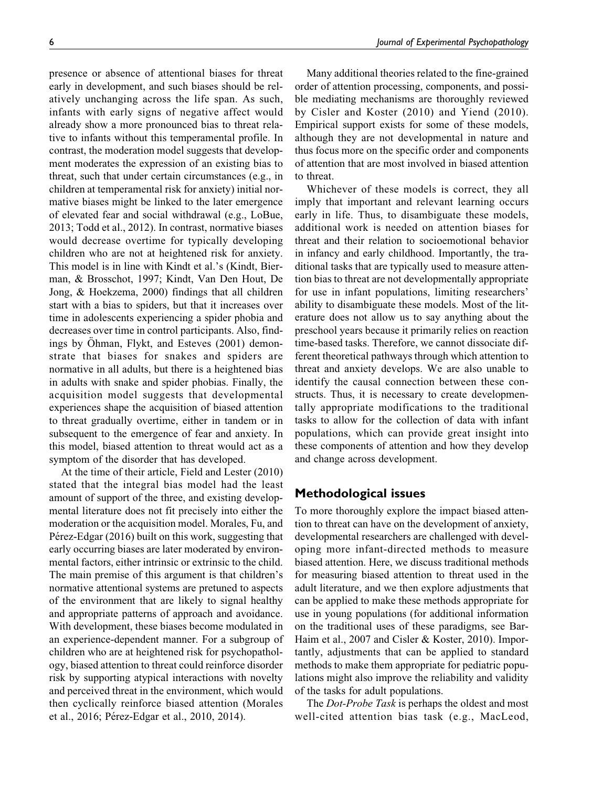presence or absence of attentional biases for threat early in development, and such biases should be relatively unchanging across the life span. As such, infants with early signs of negative affect would already show a more pronounced bias to threat relative to infants without this temperamental profile. In contrast, the moderation model suggests that development moderates the expression of an existing bias to threat, such that under certain circumstances (e.g., in children at temperamental risk for anxiety) initial normative biases might be linked to the later emergence of elevated fear and social withdrawal (e.g., LoBue, 2013; Todd et al., 2012). In contrast, normative biases would decrease overtime for typically developing children who are not at heightened risk for anxiety. This model is in line with Kindt et al.'s (Kindt, Bierman, & Brosschot, 1997; Kindt, Van Den Hout, De Jong, & Hoekzema, 2000) findings that all children start with a bias to spiders, but that it increases over time in adolescents experiencing a spider phobia and decreases over time in control participants. Also, findings by Ohman, Flykt, and Esteves (2001) demonstrate that biases for snakes and spiders are normative in all adults, but there is a heightened bias in adults with snake and spider phobias. Finally, the acquisition model suggests that developmental experiences shape the acquisition of biased attention to threat gradually overtime, either in tandem or in subsequent to the emergence of fear and anxiety. In this model, biased attention to threat would act as a symptom of the disorder that has developed.

At the time of their article, Field and Lester (2010) stated that the integral bias model had the least amount of support of the three, and existing developmental literature does not fit precisely into either the moderation or the acquisition model. Morales, Fu, and Pérez-Edgar (2016) built on this work, suggesting that early occurring biases are later moderated by environmental factors, either intrinsic or extrinsic to the child. The main premise of this argument is that children's normative attentional systems are pretuned to aspects of the environment that are likely to signal healthy and appropriate patterns of approach and avoidance. With development, these biases become modulated in an experience-dependent manner. For a subgroup of children who are at heightened risk for psychopathology, biased attention to threat could reinforce disorder risk by supporting atypical interactions with novelty and perceived threat in the environment, which would then cyclically reinforce biased attention (Morales et al., 2016; Pérez-Edgar et al., 2010, 2014).

Many additional theories related to the fine-grained order of attention processing, components, and possible mediating mechanisms are thoroughly reviewed by Cisler and Koster (2010) and Yiend (2010). Empirical support exists for some of these models, although they are not developmental in nature and thus focus more on the specific order and components of attention that are most involved in biased attention to threat.

Whichever of these models is correct, they all imply that important and relevant learning occurs early in life. Thus, to disambiguate these models, additional work is needed on attention biases for threat and their relation to socioemotional behavior in infancy and early childhood. Importantly, the traditional tasks that are typically used to measure attention bias to threat are not developmentally appropriate for use in infant populations, limiting researchers' ability to disambiguate these models. Most of the literature does not allow us to say anything about the preschool years because it primarily relies on reaction time-based tasks. Therefore, we cannot dissociate different theoretical pathways through which attention to threat and anxiety develops. We are also unable to identify the causal connection between these constructs. Thus, it is necessary to create developmentally appropriate modifications to the traditional tasks to allow for the collection of data with infant populations, which can provide great insight into these components of attention and how they develop and change across development.

## Methodological issues

To more thoroughly explore the impact biased attention to threat can have on the development of anxiety, developmental researchers are challenged with developing more infant-directed methods to measure biased attention. Here, we discuss traditional methods for measuring biased attention to threat used in the adult literature, and we then explore adjustments that can be applied to make these methods appropriate for use in young populations (for additional information on the traditional uses of these paradigms, see Bar-Haim et al., 2007 and Cisler & Koster, 2010). Importantly, adjustments that can be applied to standard methods to make them appropriate for pediatric populations might also improve the reliability and validity of the tasks for adult populations.

The *Dot-Probe Task* is perhaps the oldest and most well-cited attention bias task (e.g., MacLeod,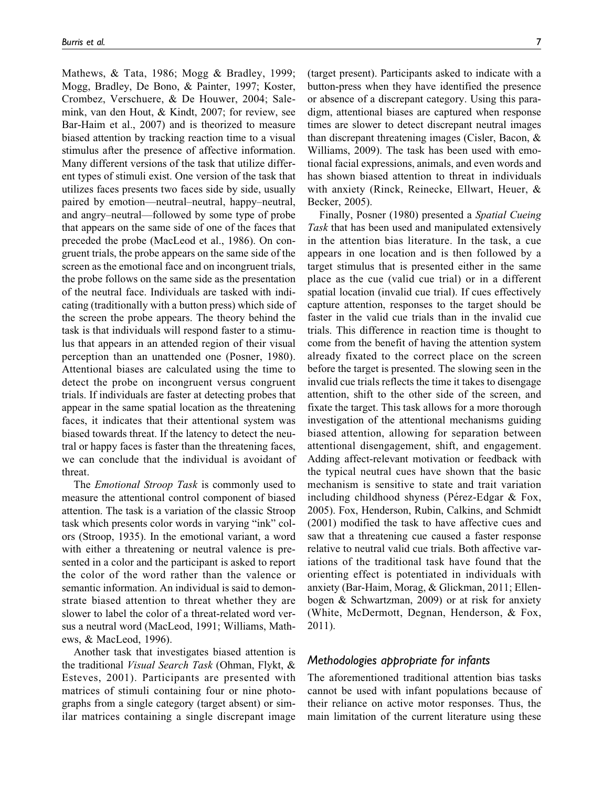Mathews, & Tata, 1986; Mogg & Bradley, 1999; Mogg, Bradley, De Bono, & Painter, 1997; Koster, Crombez, Verschuere, & De Houwer, 2004; Salemink, van den Hout, & Kindt, 2007; for review, see Bar-Haim et al., 2007) and is theorized to measure biased attention by tracking reaction time to a visual stimulus after the presence of affective information. Many different versions of the task that utilize different types of stimuli exist. One version of the task that utilizes faces presents two faces side by side, usually paired by emotion—neutral–neutral, happy–neutral, and angry–neutral—followed by some type of probe that appears on the same side of one of the faces that preceded the probe (MacLeod et al., 1986). On congruent trials, the probe appears on the same side of the screen as the emotional face and on incongruent trials, the probe follows on the same side as the presentation of the neutral face. Individuals are tasked with indicating (traditionally with a button press) which side of the screen the probe appears. The theory behind the task is that individuals will respond faster to a stimulus that appears in an attended region of their visual perception than an unattended one (Posner, 1980). Attentional biases are calculated using the time to detect the probe on incongruent versus congruent trials. If individuals are faster at detecting probes that appear in the same spatial location as the threatening faces, it indicates that their attentional system was biased towards threat. If the latency to detect the neutral or happy faces is faster than the threatening faces, we can conclude that the individual is avoidant of threat.

The *Emotional Stroop Task* is commonly used to measure the attentional control component of biased attention. The task is a variation of the classic Stroop task which presents color words in varying "ink" colors (Stroop, 1935). In the emotional variant, a word with either a threatening or neutral valence is presented in a color and the participant is asked to report the color of the word rather than the valence or semantic information. An individual is said to demonstrate biased attention to threat whether they are slower to label the color of a threat-related word versus a neutral word (MacLeod, 1991; Williams, Mathews, & MacLeod, 1996).

Another task that investigates biased attention is the traditional Visual Search Task (Ohman, Flykt, & Esteves, 2001). Participants are presented with matrices of stimuli containing four or nine photographs from a single category (target absent) or similar matrices containing a single discrepant image

(target present). Participants asked to indicate with a button-press when they have identified the presence or absence of a discrepant category. Using this paradigm, attentional biases are captured when response times are slower to detect discrepant neutral images than discrepant threatening images (Cisler, Bacon, & Williams, 2009). The task has been used with emotional facial expressions, animals, and even words and has shown biased attention to threat in individuals with anxiety (Rinck, Reinecke, Ellwart, Heuer, & Becker, 2005).

Finally, Posner (1980) presented a Spatial Cueing Task that has been used and manipulated extensively in the attention bias literature. In the task, a cue appears in one location and is then followed by a target stimulus that is presented either in the same place as the cue (valid cue trial) or in a different spatial location (invalid cue trial). If cues effectively capture attention, responses to the target should be faster in the valid cue trials than in the invalid cue trials. This difference in reaction time is thought to come from the benefit of having the attention system already fixated to the correct place on the screen before the target is presented. The slowing seen in the invalid cue trials reflects the time it takes to disengage attention, shift to the other side of the screen, and fixate the target. This task allows for a more thorough investigation of the attentional mechanisms guiding biased attention, allowing for separation between attentional disengagement, shift, and engagement. Adding affect-relevant motivation or feedback with the typical neutral cues have shown that the basic mechanism is sensitive to state and trait variation including childhood shyness (Pérez-Edgar  $& Fox$ , 2005). Fox, Henderson, Rubin, Calkins, and Schmidt (2001) modified the task to have affective cues and saw that a threatening cue caused a faster response relative to neutral valid cue trials. Both affective variations of the traditional task have found that the orienting effect is potentiated in individuals with anxiety (Bar-Haim, Morag, & Glickman, 2011; Ellenbogen & Schwartzman, 2009) or at risk for anxiety (White, McDermott, Degnan, Henderson, & Fox, 2011).

### Methodologies appropriate for infants

The aforementioned traditional attention bias tasks cannot be used with infant populations because of their reliance on active motor responses. Thus, the main limitation of the current literature using these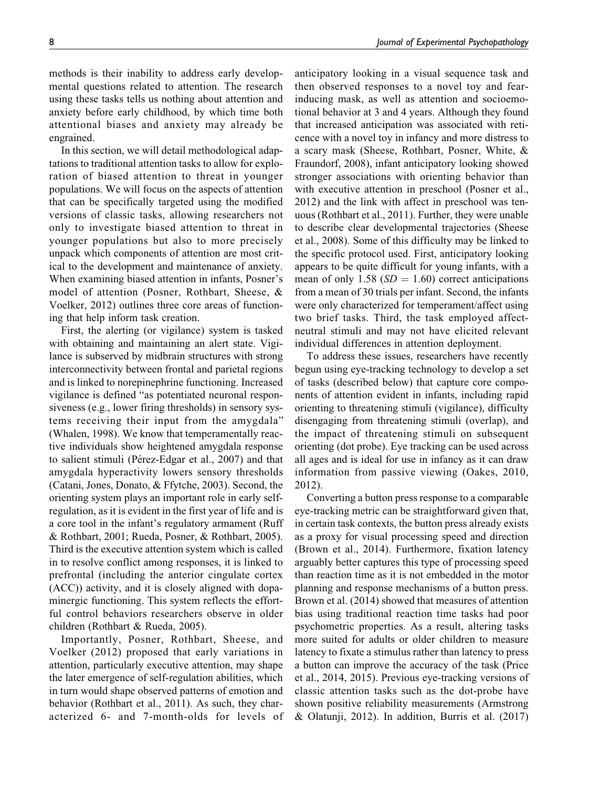methods is their inability to address early developmental questions related to attention. The research using these tasks tells us nothing about attention and anxiety before early childhood, by which time both attentional biases and anxiety may already be engrained.

In this section, we will detail methodological adaptations to traditional attention tasks to allow for exploration of biased attention to threat in younger populations. We will focus on the aspects of attention that can be specifically targeted using the modified versions of classic tasks, allowing researchers not only to investigate biased attention to threat in younger populations but also to more precisely unpack which components of attention are most critical to the development and maintenance of anxiety. When examining biased attention in infants, Posner's model of attention (Posner, Rothbart, Sheese, & Voelker, 2012) outlines three core areas of functioning that help inform task creation.

First, the alerting (or vigilance) system is tasked with obtaining and maintaining an alert state. Vigilance is subserved by midbrain structures with strong interconnectivity between frontal and parietal regions and is linked to norepinephrine functioning. Increased vigilance is defined "as potentiated neuronal responsiveness (e.g., lower firing thresholds) in sensory systems receiving their input from the amygdala" (Whalen, 1998). We know that temperamentally reactive individuals show heightened amygdala response to salient stimuli (Pérez-Edgar et al., 2007) and that amygdala hyperactivity lowers sensory thresholds (Catani, Jones, Donato, & Ffytche, 2003). Second, the orienting system plays an important role in early selfregulation, as it is evident in the first year of life and is a core tool in the infant's regulatory armament (Ruff & Rothbart, 2001; Rueda, Posner, & Rothbart, 2005). Third is the executive attention system which is called in to resolve conflict among responses, it is linked to prefrontal (including the anterior cingulate cortex (ACC)) activity, and it is closely aligned with dopaminergic functioning. This system reflects the effortful control behaviors researchers observe in older children (Rothbart & Rueda, 2005).

Importantly, Posner, Rothbart, Sheese, and Voelker (2012) proposed that early variations in attention, particularly executive attention, may shape the later emergence of self-regulation abilities, which in turn would shape observed patterns of emotion and behavior (Rothbart et al., 2011). As such, they characterized 6- and 7-month-olds for levels of anticipatory looking in a visual sequence task and then observed responses to a novel toy and fearinducing mask, as well as attention and socioemotional behavior at 3 and 4 years. Although they found that increased anticipation was associated with reticence with a novel toy in infancy and more distress to a scary mask (Sheese, Rothbart, Posner, White, & Fraundorf, 2008), infant anticipatory looking showed stronger associations with orienting behavior than with executive attention in preschool (Posner et al., 2012) and the link with affect in preschool was tenuous (Rothbart et al., 2011). Further, they were unable to describe clear developmental trajectories (Sheese et al., 2008). Some of this difficulty may be linked to the specific protocol used. First, anticipatory looking appears to be quite difficult for young infants, with a mean of only 1.58 ( $SD = 1.60$ ) correct anticipations from a mean of 30 trials per infant. Second, the infants were only characterized for temperament/affect using two brief tasks. Third, the task employed affectneutral stimuli and may not have elicited relevant individual differences in attention deployment.

To address these issues, researchers have recently begun using eye-tracking technology to develop a set of tasks (described below) that capture core components of attention evident in infants, including rapid orienting to threatening stimuli (vigilance), difficulty disengaging from threatening stimuli (overlap), and the impact of threatening stimuli on subsequent orienting (dot probe). Eye tracking can be used across all ages and is ideal for use in infancy as it can draw information from passive viewing (Oakes, 2010, 2012).

Converting a button press response to a comparable eye-tracking metric can be straightforward given that, in certain task contexts, the button press already exists as a proxy for visual processing speed and direction (Brown et al., 2014). Furthermore, fixation latency arguably better captures this type of processing speed than reaction time as it is not embedded in the motor planning and response mechanisms of a button press. Brown et al. (2014) showed that measures of attention bias using traditional reaction time tasks had poor psychometric properties. As a result, altering tasks more suited for adults or older children to measure latency to fixate a stimulus rather than latency to press a button can improve the accuracy of the task (Price et al., 2014, 2015). Previous eye-tracking versions of classic attention tasks such as the dot-probe have shown positive reliability measurements (Armstrong & Olatunji, 2012). In addition, Burris et al. (2017)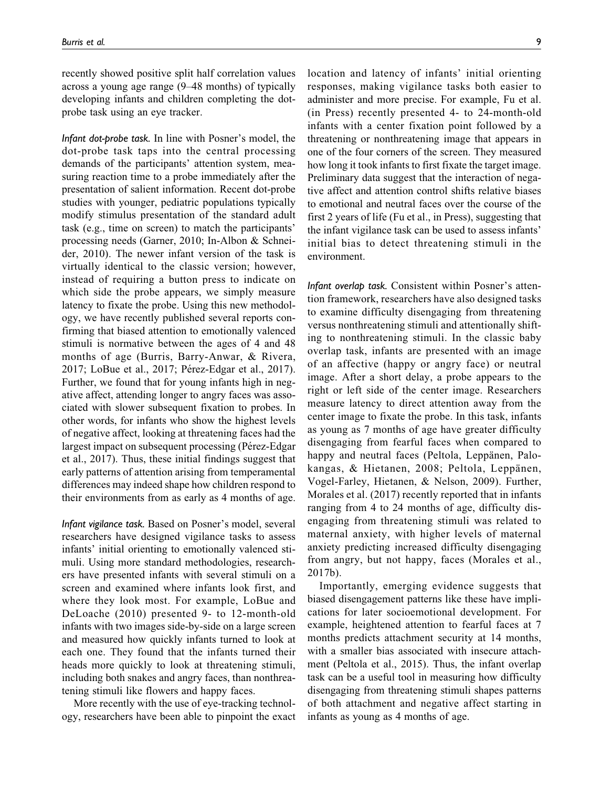recently showed positive split half correlation values across a young age range (9–48 months) of typically developing infants and children completing the dotprobe task using an eye tracker.

Infant dot-probe task. In line with Posner's model, the dot-probe task taps into the central processing demands of the participants' attention system, measuring reaction time to a probe immediately after the presentation of salient information. Recent dot-probe studies with younger, pediatric populations typically modify stimulus presentation of the standard adult task (e.g., time on screen) to match the participants' processing needs (Garner, 2010; In-Albon & Schneider, 2010). The newer infant version of the task is virtually identical to the classic version; however, instead of requiring a button press to indicate on which side the probe appears, we simply measure latency to fixate the probe. Using this new methodology, we have recently published several reports confirming that biased attention to emotionally valenced stimuli is normative between the ages of 4 and 48 months of age (Burris, Barry-Anwar, & Rivera, 2017; LoBue et al., 2017; Pérez-Edgar et al., 2017). Further, we found that for young infants high in negative affect, attending longer to angry faces was associated with slower subsequent fixation to probes. In other words, for infants who show the highest levels of negative affect, looking at threatening faces had the largest impact on subsequent processing (Pérez-Edgar et al., 2017). Thus, these initial findings suggest that early patterns of attention arising from temperamental differences may indeed shape how children respond to their environments from as early as 4 months of age.

Infant vigilance task. Based on Posner's model, several researchers have designed vigilance tasks to assess infants' initial orienting to emotionally valenced stimuli. Using more standard methodologies, researchers have presented infants with several stimuli on a screen and examined where infants look first, and where they look most. For example, LoBue and DeLoache (2010) presented 9- to 12-month-old infants with two images side-by-side on a large screen and measured how quickly infants turned to look at each one. They found that the infants turned their heads more quickly to look at threatening stimuli, including both snakes and angry faces, than nonthreatening stimuli like flowers and happy faces.

More recently with the use of eye-tracking technology, researchers have been able to pinpoint the exact location and latency of infants' initial orienting responses, making vigilance tasks both easier to administer and more precise. For example, Fu et al. (in Press) recently presented 4- to 24-month-old infants with a center fixation point followed by a threatening or nonthreatening image that appears in one of the four corners of the screen. They measured how long it took infants to first fixate the target image. Preliminary data suggest that the interaction of negative affect and attention control shifts relative biases to emotional and neutral faces over the course of the first 2 years of life (Fu et al., in Press), suggesting that the infant vigilance task can be used to assess infants' initial bias to detect threatening stimuli in the environment.

Infant overlap task. Consistent within Posner's attention framework, researchers have also designed tasks to examine difficulty disengaging from threatening versus nonthreatening stimuli and attentionally shifting to nonthreatening stimuli. In the classic baby overlap task, infants are presented with an image of an affective (happy or angry face) or neutral image. After a short delay, a probe appears to the right or left side of the center image. Researchers measure latency to direct attention away from the center image to fixate the probe. In this task, infants as young as 7 months of age have greater difficulty disengaging from fearful faces when compared to happy and neutral faces (Peltola, Leppanen, Palokangas, & Hietanen, 2008; Peltola, Leppänen, Vogel-Farley, Hietanen, & Nelson, 2009). Further, Morales et al. (2017) recently reported that in infants ranging from 4 to 24 months of age, difficulty disengaging from threatening stimuli was related to maternal anxiety, with higher levels of maternal anxiety predicting increased difficulty disengaging from angry, but not happy, faces (Morales et al., 2017b).

Importantly, emerging evidence suggests that biased disengagement patterns like these have implications for later socioemotional development. For example, heightened attention to fearful faces at 7 months predicts attachment security at 14 months, with a smaller bias associated with insecure attachment (Peltola et al., 2015). Thus, the infant overlap task can be a useful tool in measuring how difficulty disengaging from threatening stimuli shapes patterns of both attachment and negative affect starting in infants as young as 4 months of age.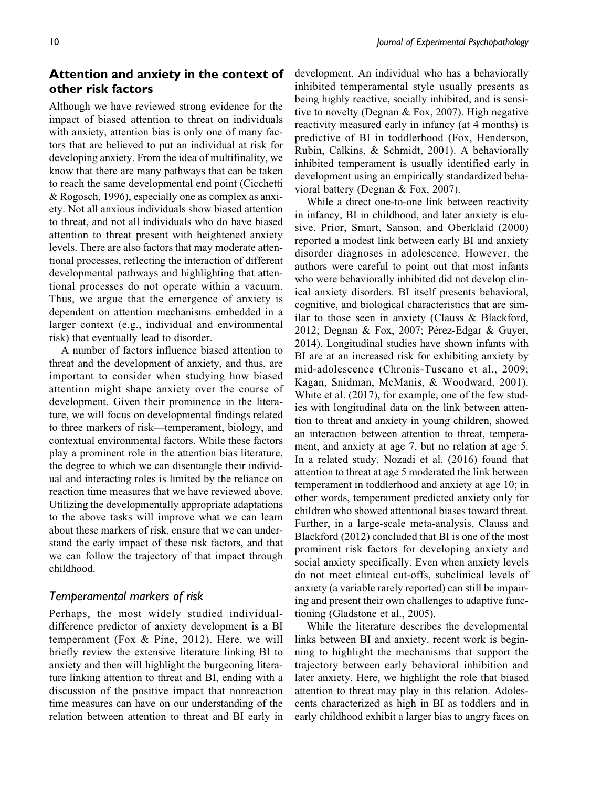## Attention and anxiety in the context of other risk factors

Although we have reviewed strong evidence for the impact of biased attention to threat on individuals with anxiety, attention bias is only one of many factors that are believed to put an individual at risk for developing anxiety. From the idea of multifinality, we know that there are many pathways that can be taken to reach the same developmental end point (Cicchetti & Rogosch, 1996), especially one as complex as anxiety. Not all anxious individuals show biased attention to threat, and not all individuals who do have biased attention to threat present with heightened anxiety levels. There are also factors that may moderate attentional processes, reflecting the interaction of different developmental pathways and highlighting that attentional processes do not operate within a vacuum. Thus, we argue that the emergence of anxiety is dependent on attention mechanisms embedded in a larger context (e.g., individual and environmental risk) that eventually lead to disorder.

A number of factors influence biased attention to threat and the development of anxiety, and thus, are important to consider when studying how biased attention might shape anxiety over the course of development. Given their prominence in the literature, we will focus on developmental findings related to three markers of risk—temperament, biology, and contextual environmental factors. While these factors play a prominent role in the attention bias literature, the degree to which we can disentangle their individual and interacting roles is limited by the reliance on reaction time measures that we have reviewed above. Utilizing the developmentally appropriate adaptations to the above tasks will improve what we can learn about these markers of risk, ensure that we can understand the early impact of these risk factors, and that we can follow the trajectory of that impact through childhood.

### Temperamental markers of risk

Perhaps, the most widely studied individualdifference predictor of anxiety development is a BI temperament (Fox & Pine, 2012). Here, we will briefly review the extensive literature linking BI to anxiety and then will highlight the burgeoning literature linking attention to threat and BI, ending with a discussion of the positive impact that nonreaction time measures can have on our understanding of the relation between attention to threat and BI early in development. An individual who has a behaviorally inhibited temperamental style usually presents as being highly reactive, socially inhibited, and is sensitive to novelty (Degnan & Fox, 2007). High negative reactivity measured early in infancy (at 4 months) is predictive of BI in toddlerhood (Fox, Henderson, Rubin, Calkins, & Schmidt, 2001). A behaviorally inhibited temperament is usually identified early in development using an empirically standardized behavioral battery (Degnan & Fox, 2007).

While a direct one-to-one link between reactivity in infancy, BI in childhood, and later anxiety is elusive, Prior, Smart, Sanson, and Oberklaid (2000) reported a modest link between early BI and anxiety disorder diagnoses in adolescence. However, the authors were careful to point out that most infants who were behaviorally inhibited did not develop clinical anxiety disorders. BI itself presents behavioral, cognitive, and biological characteristics that are similar to those seen in anxiety (Clauss & Blackford, 2012; Degnan & Fox, 2007; Pérez-Edgar & Guyer, 2014). Longitudinal studies have shown infants with BI are at an increased risk for exhibiting anxiety by mid-adolescence (Chronis-Tuscano et al., 2009; Kagan, Snidman, McManis, & Woodward, 2001). White et al. (2017), for example, one of the few studies with longitudinal data on the link between attention to threat and anxiety in young children, showed an interaction between attention to threat, temperament, and anxiety at age 7, but no relation at age 5. In a related study, Nozadi et al. (2016) found that attention to threat at age 5 moderated the link between temperament in toddlerhood and anxiety at age 10; in other words, temperament predicted anxiety only for children who showed attentional biases toward threat. Further, in a large-scale meta-analysis, Clauss and Blackford (2012) concluded that BI is one of the most prominent risk factors for developing anxiety and social anxiety specifically. Even when anxiety levels do not meet clinical cut-offs, subclinical levels of anxiety (a variable rarely reported) can still be impairing and present their own challenges to adaptive functioning (Gladstone et al., 2005).

While the literature describes the developmental links between BI and anxiety, recent work is beginning to highlight the mechanisms that support the trajectory between early behavioral inhibition and later anxiety. Here, we highlight the role that biased attention to threat may play in this relation. Adolescents characterized as high in BI as toddlers and in early childhood exhibit a larger bias to angry faces on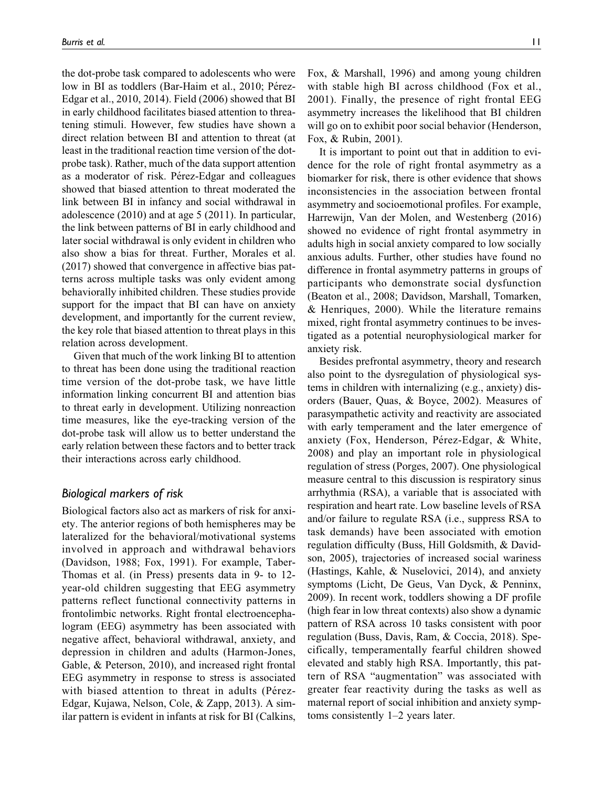the dot-probe task compared to adolescents who were low in BI as toddlers (Bar-Haim et al., 2010; Pérez-Edgar et al., 2010, 2014). Field (2006) showed that BI in early childhood facilitates biased attention to threatening stimuli. However, few studies have shown a direct relation between BI and attention to threat (at least in the traditional reaction time version of the dotprobe task). Rather, much of the data support attention as a moderator of risk. Pérez-Edgar and colleagues showed that biased attention to threat moderated the link between BI in infancy and social withdrawal in adolescence (2010) and at age 5 (2011). In particular, the link between patterns of BI in early childhood and later social withdrawal is only evident in children who also show a bias for threat. Further, Morales et al. (2017) showed that convergence in affective bias patterns across multiple tasks was only evident among behaviorally inhibited children. These studies provide support for the impact that BI can have on anxiety development, and importantly for the current review, the key role that biased attention to threat plays in this relation across development.

Given that much of the work linking BI to attention to threat has been done using the traditional reaction time version of the dot-probe task, we have little information linking concurrent BI and attention bias to threat early in development. Utilizing nonreaction time measures, like the eye-tracking version of the dot-probe task will allow us to better understand the early relation between these factors and to better track their interactions across early childhood.

### Biological markers of risk

Biological factors also act as markers of risk for anxiety. The anterior regions of both hemispheres may be lateralized for the behavioral/motivational systems involved in approach and withdrawal behaviors (Davidson, 1988; Fox, 1991). For example, Taber-Thomas et al. (in Press) presents data in 9- to 12 year-old children suggesting that EEG asymmetry patterns reflect functional connectivity patterns in frontolimbic networks. Right frontal electroencephalogram (EEG) asymmetry has been associated with negative affect, behavioral withdrawal, anxiety, and depression in children and adults (Harmon-Jones, Gable, & Peterson, 2010), and increased right frontal EEG asymmetry in response to stress is associated with biased attention to threat in adults (Pérez-Edgar, Kujawa, Nelson, Cole, & Zapp, 2013). A similar pattern is evident in infants at risk for BI (Calkins, Fox, & Marshall, 1996) and among young children with stable high BI across childhood (Fox et al., 2001). Finally, the presence of right frontal EEG asymmetry increases the likelihood that BI children will go on to exhibit poor social behavior (Henderson, Fox, & Rubin, 2001).

It is important to point out that in addition to evidence for the role of right frontal asymmetry as a biomarker for risk, there is other evidence that shows inconsistencies in the association between frontal asymmetry and socioemotional profiles. For example, Harrewijn, Van der Molen, and Westenberg (2016) showed no evidence of right frontal asymmetry in adults high in social anxiety compared to low socially anxious adults. Further, other studies have found no difference in frontal asymmetry patterns in groups of participants who demonstrate social dysfunction (Beaton et al., 2008; Davidson, Marshall, Tomarken, & Henriques, 2000). While the literature remains mixed, right frontal asymmetry continues to be investigated as a potential neurophysiological marker for anxiety risk.

Besides prefrontal asymmetry, theory and research also point to the dysregulation of physiological systems in children with internalizing (e.g., anxiety) disorders (Bauer, Quas, & Boyce, 2002). Measures of parasympathetic activity and reactivity are associated with early temperament and the later emergence of anxiety (Fox, Henderson, Pérez-Edgar, & White, 2008) and play an important role in physiological regulation of stress (Porges, 2007). One physiological measure central to this discussion is respiratory sinus arrhythmia (RSA), a variable that is associated with respiration and heart rate. Low baseline levels of RSA and/or failure to regulate RSA (i.e., suppress RSA to task demands) have been associated with emotion regulation difficulty (Buss, Hill Goldsmith, & Davidson, 2005), trajectories of increased social wariness (Hastings, Kahle, & Nuselovici, 2014), and anxiety symptoms (Licht, De Geus, Van Dyck, & Penninx, 2009). In recent work, toddlers showing a DF profile (high fear in low threat contexts) also show a dynamic pattern of RSA across 10 tasks consistent with poor regulation (Buss, Davis, Ram, & Coccia, 2018). Specifically, temperamentally fearful children showed elevated and stably high RSA. Importantly, this pattern of RSA "augmentation" was associated with greater fear reactivity during the tasks as well as maternal report of social inhibition and anxiety symptoms consistently 1–2 years later.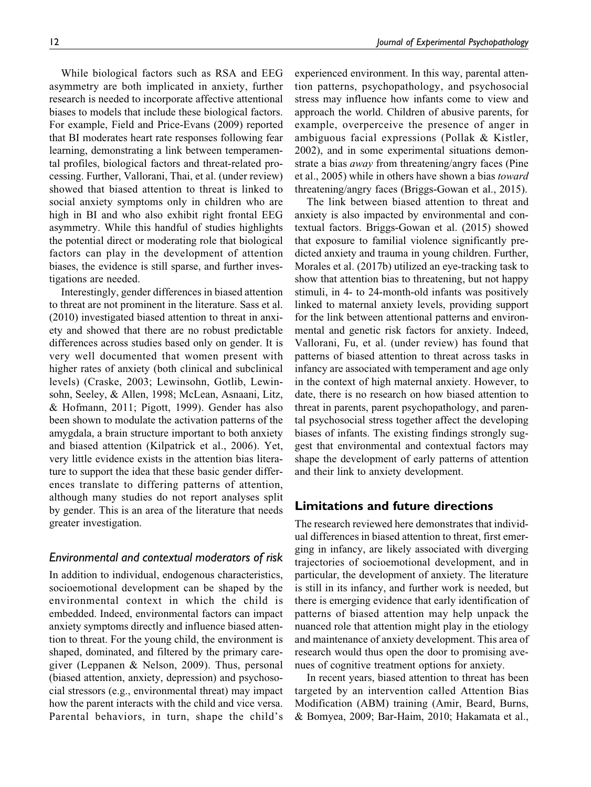While biological factors such as RSA and EEG asymmetry are both implicated in anxiety, further research is needed to incorporate affective attentional biases to models that include these biological factors. For example, Field and Price-Evans (2009) reported that BI moderates heart rate responses following fear learning, demonstrating a link between temperamental profiles, biological factors and threat-related processing. Further, Vallorani, Thai, et al. (under review) showed that biased attention to threat is linked to social anxiety symptoms only in children who are high in BI and who also exhibit right frontal EEG asymmetry. While this handful of studies highlights the potential direct or moderating role that biological factors can play in the development of attention biases, the evidence is still sparse, and further investigations are needed.

Interestingly, gender differences in biased attention to threat are not prominent in the literature. Sass et al. (2010) investigated biased attention to threat in anxiety and showed that there are no robust predictable differences across studies based only on gender. It is very well documented that women present with higher rates of anxiety (both clinical and subclinical levels) (Craske, 2003; Lewinsohn, Gotlib, Lewinsohn, Seeley, & Allen, 1998; McLean, Asnaani, Litz, & Hofmann, 2011; Pigott, 1999). Gender has also been shown to modulate the activation patterns of the amygdala, a brain structure important to both anxiety and biased attention (Kilpatrick et al., 2006). Yet, very little evidence exists in the attention bias literature to support the idea that these basic gender differences translate to differing patterns of attention, although many studies do not report analyses split by gender. This is an area of the literature that needs greater investigation.

#### Environmental and contextual moderators of risk

In addition to individual, endogenous characteristics, socioemotional development can be shaped by the environmental context in which the child is embedded. Indeed, environmental factors can impact anxiety symptoms directly and influence biased attention to threat. For the young child, the environment is shaped, dominated, and filtered by the primary caregiver (Leppanen & Nelson, 2009). Thus, personal (biased attention, anxiety, depression) and psychosocial stressors (e.g., environmental threat) may impact how the parent interacts with the child and vice versa. Parental behaviors, in turn, shape the child's experienced environment. In this way, parental attention patterns, psychopathology, and psychosocial stress may influence how infants come to view and approach the world. Children of abusive parents, for example, overperceive the presence of anger in ambiguous facial expressions (Pollak & Kistler, 2002), and in some experimental situations demonstrate a bias away from threatening/angry faces (Pine et al., 2005) while in others have shown a bias toward threatening/angry faces (Briggs-Gowan et al., 2015).

The link between biased attention to threat and anxiety is also impacted by environmental and contextual factors. Briggs-Gowan et al. (2015) showed that exposure to familial violence significantly predicted anxiety and trauma in young children. Further, Morales et al. (2017b) utilized an eye-tracking task to show that attention bias to threatening, but not happy stimuli, in 4- to 24-month-old infants was positively linked to maternal anxiety levels, providing support for the link between attentional patterns and environmental and genetic risk factors for anxiety. Indeed, Vallorani, Fu, et al. (under review) has found that patterns of biased attention to threat across tasks in infancy are associated with temperament and age only in the context of high maternal anxiety. However, to date, there is no research on how biased attention to threat in parents, parent psychopathology, and parental psychosocial stress together affect the developing biases of infants. The existing findings strongly suggest that environmental and contextual factors may shape the development of early patterns of attention and their link to anxiety development.

## Limitations and future directions

The research reviewed here demonstrates that individual differences in biased attention to threat, first emerging in infancy, are likely associated with diverging trajectories of socioemotional development, and in particular, the development of anxiety. The literature is still in its infancy, and further work is needed, but there is emerging evidence that early identification of patterns of biased attention may help unpack the nuanced role that attention might play in the etiology and maintenance of anxiety development. This area of research would thus open the door to promising avenues of cognitive treatment options for anxiety.

In recent years, biased attention to threat has been targeted by an intervention called Attention Bias Modification (ABM) training (Amir, Beard, Burns, & Bomyea, 2009; Bar-Haim, 2010; Hakamata et al.,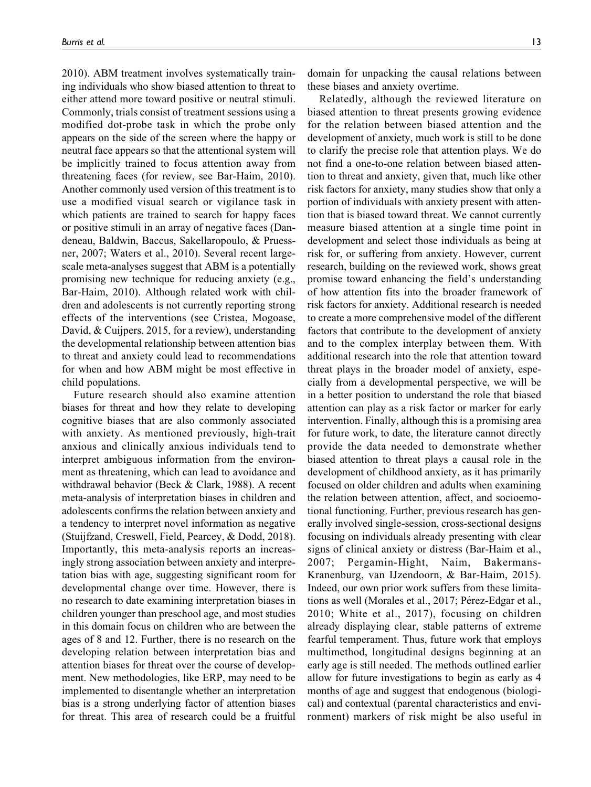2010). ABM treatment involves systematically training individuals who show biased attention to threat to either attend more toward positive or neutral stimuli. Commonly, trials consist of treatment sessions using a modified dot-probe task in which the probe only appears on the side of the screen where the happy or neutral face appears so that the attentional system will be implicitly trained to focus attention away from threatening faces (for review, see Bar-Haim, 2010). Another commonly used version of this treatment is to use a modified visual search or vigilance task in which patients are trained to search for happy faces or positive stimuli in an array of negative faces (Dandeneau, Baldwin, Baccus, Sakellaropoulo, & Pruessner, 2007; Waters et al., 2010). Several recent largescale meta-analyses suggest that ABM is a potentially promising new technique for reducing anxiety (e.g., Bar-Haim, 2010). Although related work with children and adolescents is not currently reporting strong effects of the interventions (see Cristea, Mogoase, David, & Cuijpers, 2015, for a review), understanding the developmental relationship between attention bias to threat and anxiety could lead to recommendations for when and how ABM might be most effective in child populations.

Future research should also examine attention biases for threat and how they relate to developing cognitive biases that are also commonly associated with anxiety. As mentioned previously, high-trait anxious and clinically anxious individuals tend to interpret ambiguous information from the environment as threatening, which can lead to avoidance and withdrawal behavior (Beck & Clark, 1988). A recent meta-analysis of interpretation biases in children and adolescents confirms the relation between anxiety and a tendency to interpret novel information as negative (Stuijfzand, Creswell, Field, Pearcey, & Dodd, 2018). Importantly, this meta-analysis reports an increasingly strong association between anxiety and interpretation bias with age, suggesting significant room for developmental change over time. However, there is no research to date examining interpretation biases in children younger than preschool age, and most studies in this domain focus on children who are between the ages of 8 and 12. Further, there is no research on the developing relation between interpretation bias and attention biases for threat over the course of development. New methodologies, like ERP, may need to be implemented to disentangle whether an interpretation bias is a strong underlying factor of attention biases for threat. This area of research could be a fruitful

domain for unpacking the causal relations between these biases and anxiety overtime.

Relatedly, although the reviewed literature on biased attention to threat presents growing evidence for the relation between biased attention and the development of anxiety, much work is still to be done to clarify the precise role that attention plays. We do not find a one-to-one relation between biased attention to threat and anxiety, given that, much like other risk factors for anxiety, many studies show that only a portion of individuals with anxiety present with attention that is biased toward threat. We cannot currently measure biased attention at a single time point in development and select those individuals as being at risk for, or suffering from anxiety. However, current research, building on the reviewed work, shows great promise toward enhancing the field's understanding of how attention fits into the broader framework of risk factors for anxiety. Additional research is needed to create a more comprehensive model of the different factors that contribute to the development of anxiety and to the complex interplay between them. With additional research into the role that attention toward threat plays in the broader model of anxiety, especially from a developmental perspective, we will be in a better position to understand the role that biased attention can play as a risk factor or marker for early intervention. Finally, although this is a promising area for future work, to date, the literature cannot directly provide the data needed to demonstrate whether biased attention to threat plays a causal role in the development of childhood anxiety, as it has primarily focused on older children and adults when examining the relation between attention, affect, and socioemotional functioning. Further, previous research has generally involved single-session, cross-sectional designs focusing on individuals already presenting with clear signs of clinical anxiety or distress (Bar-Haim et al., 2007; Pergamin-Hight, Naim, Bakermans-Kranenburg, van IJzendoorn, & Bar-Haim, 2015). Indeed, our own prior work suffers from these limitations as well (Morales et al., 2017; Pérez-Edgar et al., 2010; White et al., 2017), focusing on children already displaying clear, stable patterns of extreme fearful temperament. Thus, future work that employs multimethod, longitudinal designs beginning at an early age is still needed. The methods outlined earlier allow for future investigations to begin as early as 4 months of age and suggest that endogenous (biological) and contextual (parental characteristics and environment) markers of risk might be also useful in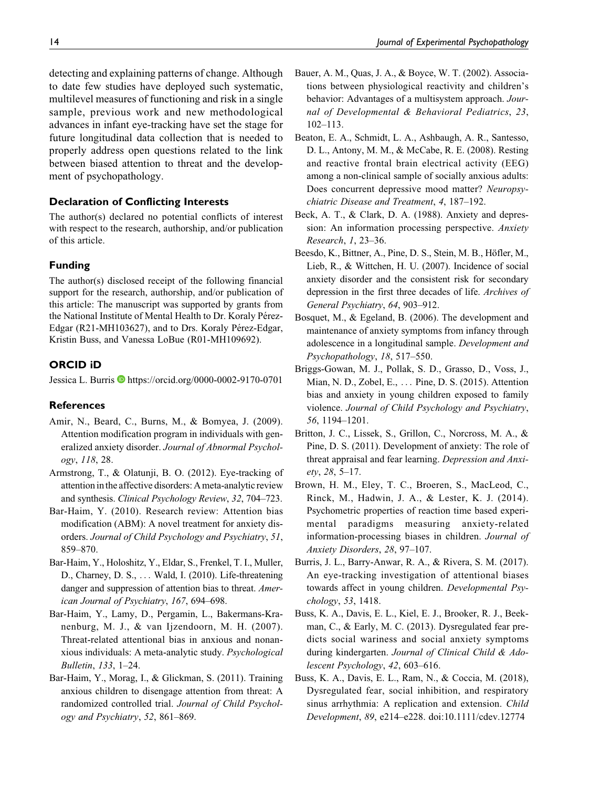detecting and explaining patterns of change. Although to date few studies have deployed such systematic, multilevel measures of functioning and risk in a single sample, previous work and new methodological advances in infant eye-tracking have set the stage for future longitudinal data collection that is needed to properly address open questions related to the link between biased attention to threat and the development of psychopathology.

#### Declaration of Conflicting Interests

The author(s) declared no potential conflicts of interest with respect to the research, authorship, and/or publication of this article.

#### Funding

The author(s) disclosed receipt of the following financial support for the research, authorship, and/or publication of this article: The manuscript was supported by grants from the National Institute of Mental Health to Dr. Koraly Pérez-Edgar (R21-MH103627), and to Drs. Koraly Pérez-Edgar, Kristin Buss, and Vanessa LoBue (R01-MH109692).

#### ORCID iD

Jessica L. Burris D<https://orcid.org/0000-0002-9170-0701>

#### **References**

- Amir, N., Beard, C., Burns, M., & Bomyea, J. (2009). Attention modification program in individuals with generalized anxiety disorder. Journal of Abnormal Psychology, 118, 28.
- Armstrong, T., & Olatunji, B. O. (2012). Eye-tracking of attention in the affective disorders: A meta-analytic review and synthesis. Clinical Psychology Review, 32, 704–723.
- Bar-Haim, Y. (2010). Research review: Attention bias modification (ABM): A novel treatment for anxiety disorders. Journal of Child Psychology and Psychiatry, 51, 859–870.
- Bar-Haim, Y., Holoshitz, Y., Eldar, S., Frenkel, T. I., Muller, D., Charney, D. S., ... Wald, I. (2010). Life-threatening danger and suppression of attention bias to threat. American Journal of Psychiatry, 167, 694–698.
- Bar-Haim, Y., Lamy, D., Pergamin, L., Bakermans-Kranenburg, M. J., & van Ijzendoorn, M. H. (2007). Threat-related attentional bias in anxious and nonanxious individuals: A meta-analytic study. Psychological Bulletin, 133, 1–24.
- Bar-Haim, Y., Morag, I., & Glickman, S. (2011). Training anxious children to disengage attention from threat: A randomized controlled trial. Journal of Child Psychology and Psychiatry, 52, 861–869.
- Bauer, A. M., Quas, J. A., & Boyce, W. T. (2002). Associations between physiological reactivity and children's behavior: Advantages of a multisystem approach. Journal of Developmental & Behavioral Pediatrics, 23, 102–113.
- Beaton, E. A., Schmidt, L. A., Ashbaugh, A. R., Santesso, D. L., Antony, M. M., & McCabe, R. E. (2008). Resting and reactive frontal brain electrical activity (EEG) among a non-clinical sample of socially anxious adults: Does concurrent depressive mood matter? Neuropsychiatric Disease and Treatment, 4, 187–192.
- Beck, A. T., & Clark, D. A. (1988). Anxiety and depression: An information processing perspective. Anxiety Research, 1, 23–36.
- Beesdo, K., Bittner, A., Pine, D. S., Stein, M. B., Höfler, M., Lieb, R., & Wittchen, H. U. (2007). Incidence of social anxiety disorder and the consistent risk for secondary depression in the first three decades of life. Archives of General Psychiatry, 64, 903–912.
- Bosquet, M., & Egeland, B. (2006). The development and maintenance of anxiety symptoms from infancy through adolescence in a longitudinal sample. Development and Psychopathology, 18, 517–550.
- Briggs-Gowan, M. J., Pollak, S. D., Grasso, D., Voss, J., Mian, N. D., Zobel, E., ... Pine, D. S. (2015). Attention bias and anxiety in young children exposed to family violence. Journal of Child Psychology and Psychiatry, 56, 1194–1201.
- Britton, J. C., Lissek, S., Grillon, C., Norcross, M. A., & Pine, D. S. (2011). Development of anxiety: The role of threat appraisal and fear learning. Depression and Anxiety, 28, 5–17.
- Brown, H. M., Eley, T. C., Broeren, S., MacLeod, C., Rinck, M., Hadwin, J. A., & Lester, K. J. (2014). Psychometric properties of reaction time based experimental paradigms measuring anxiety-related information-processing biases in children. Journal of Anxiety Disorders, 28, 97–107.
- Burris, J. L., Barry-Anwar, R. A., & Rivera, S. M. (2017). An eye-tracking investigation of attentional biases towards affect in young children. Developmental Psychology, 53, 1418.
- Buss, K. A., Davis, E. L., Kiel, E. J., Brooker, R. J., Beekman, C., & Early, M. C. (2013). Dysregulated fear predicts social wariness and social anxiety symptoms during kindergarten. Journal of Clinical Child & Adolescent Psychology, 42, 603–616.
- Buss, K. A., Davis, E. L., Ram, N., & Coccia, M. (2018), Dysregulated fear, social inhibition, and respiratory sinus arrhythmia: A replication and extension. Child Development, 89, e214–e228. doi:10.1111/cdev.12774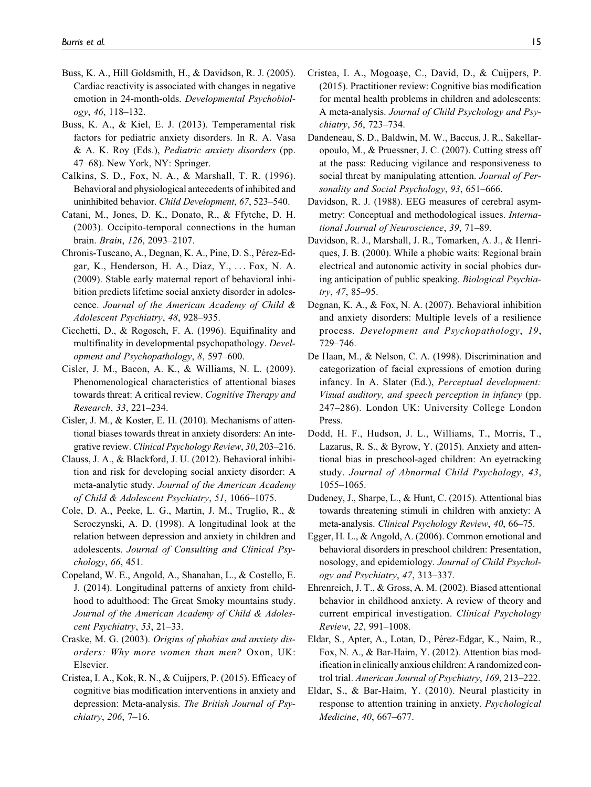- Buss, K. A., Hill Goldsmith, H., & Davidson, R. J. (2005). Cardiac reactivity is associated with changes in negative emotion in 24-month-olds. Developmental Psychobiology, 46, 118–132.
- Buss, K. A., & Kiel, E. J. (2013). Temperamental risk factors for pediatric anxiety disorders. In R. A. Vasa & A. K. Roy (Eds.), Pediatric anxiety disorders (pp. 47–68). New York, NY: Springer.
- Calkins, S. D., Fox, N. A., & Marshall, T. R. (1996). Behavioral and physiological antecedents of inhibited and uninhibited behavior. Child Development, 67, 523–540.
- Catani, M., Jones, D. K., Donato, R., & Ffytche, D. H. (2003). Occipito-temporal connections in the human brain. Brain, 126, 2093–2107.
- Chronis-Tuscano, A., Degnan, K. A., Pine, D. S., Pérez-Edgar, K., Henderson, H. A., Diaz, Y., ... Fox, N. A. (2009). Stable early maternal report of behavioral inhibition predicts lifetime social anxiety disorder in adolescence. Journal of the American Academy of Child & Adolescent Psychiatry, 48, 928–935.
- Cicchetti, D., & Rogosch, F. A. (1996). Equifinality and multifinality in developmental psychopathology. Development and Psychopathology, 8, 597–600.
- Cisler, J. M., Bacon, A. K., & Williams, N. L. (2009). Phenomenological characteristics of attentional biases towards threat: A critical review. Cognitive Therapy and Research, 33, 221–234.
- Cisler, J. M., & Koster, E. H. (2010). Mechanisms of attentional biases towards threat in anxiety disorders: An integrative review. Clinical Psychology Review, 30, 203–216.
- Clauss, J. A., & Blackford, J. U. (2012). Behavioral inhibition and risk for developing social anxiety disorder: A meta-analytic study. Journal of the American Academy of Child & Adolescent Psychiatry, 51, 1066–1075.
- Cole, D. A., Peeke, L. G., Martin, J. M., Truglio, R., & Seroczynski, A. D. (1998). A longitudinal look at the relation between depression and anxiety in children and adolescents. Journal of Consulting and Clinical Psychology, 66, 451.
- Copeland, W. E., Angold, A., Shanahan, L., & Costello, E. J. (2014). Longitudinal patterns of anxiety from childhood to adulthood: The Great Smoky mountains study. Journal of the American Academy of Child & Adolescent Psychiatry, 53, 21–33.
- Craske, M. G. (2003). Origins of phobias and anxiety disorders: Why more women than men? Oxon, UK: Elsevier.
- Cristea, I. A., Kok, R. N., & Cuijpers, P. (2015). Efficacy of cognitive bias modification interventions in anxiety and depression: Meta-analysis. The British Journal of Psychiatry, 206, 7–16.
- Cristea, I. A., Mogoașe, C., David, D., & Cuijpers, P. (2015). Practitioner review: Cognitive bias modification for mental health problems in children and adolescents: A meta-analysis. Journal of Child Psychology and Psychiatry, 56, 723–734.
- Dandeneau, S. D., Baldwin, M. W., Baccus, J. R., Sakellaropoulo, M., & Pruessner, J. C. (2007). Cutting stress off at the pass: Reducing vigilance and responsiveness to social threat by manipulating attention. Journal of Personality and Social Psychology, 93, 651–666.
- Davidson, R. J. (1988). EEG measures of cerebral asymmetry: Conceptual and methodological issues. International Journal of Neuroscience, 39, 71–89.
- Davidson, R. J., Marshall, J. R., Tomarken, A. J., & Henriques, J. B. (2000). While a phobic waits: Regional brain electrical and autonomic activity in social phobics during anticipation of public speaking. Biological Psychiatry, 47, 85–95.
- Degnan, K. A., & Fox, N. A. (2007). Behavioral inhibition and anxiety disorders: Multiple levels of a resilience process. Development and Psychopathology, 19, 729–746.
- De Haan, M., & Nelson, C. A. (1998). Discrimination and categorization of facial expressions of emotion during infancy. In A. Slater (Ed.), Perceptual development: Visual auditory, and speech perception in infancy (pp. 247–286). London UK: University College London Press.
- Dodd, H. F., Hudson, J. L., Williams, T., Morris, T., Lazarus, R. S., & Byrow, Y. (2015). Anxiety and attentional bias in preschool-aged children: An eyetracking study. Journal of Abnormal Child Psychology, 43, 1055–1065.
- Dudeney, J., Sharpe, L., & Hunt, C. (2015). Attentional bias towards threatening stimuli in children with anxiety: A meta-analysis. Clinical Psychology Review, 40, 66–75.
- Egger, H. L., & Angold, A. (2006). Common emotional and behavioral disorders in preschool children: Presentation, nosology, and epidemiology. Journal of Child Psychology and Psychiatry, 47, 313–337.
- Ehrenreich, J. T., & Gross, A. M. (2002). Biased attentional behavior in childhood anxiety. A review of theory and current empirical investigation. Clinical Psychology Review, 22, 991–1008.
- Eldar, S., Apter, A., Lotan, D., Pérez-Edgar, K., Naim, R., Fox, N. A., & Bar-Haim, Y. (2012). Attention bias modification in clinically anxious children: A randomized control trial. American Journal of Psychiatry, 169, 213–222.
- Eldar, S., & Bar-Haim, Y. (2010). Neural plasticity in response to attention training in anxiety. Psychological Medicine, 40, 667–677.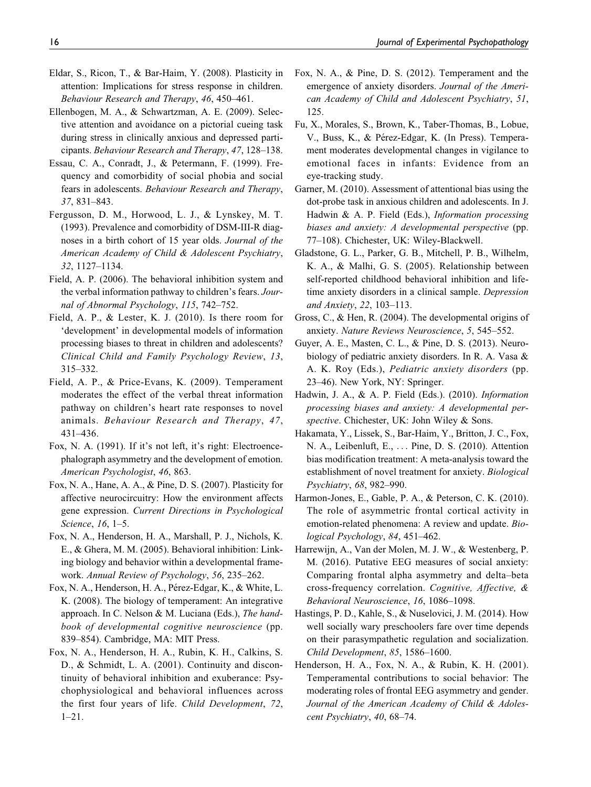- Eldar, S., Ricon, T., & Bar-Haim, Y. (2008). Plasticity in attention: Implications for stress response in children. Behaviour Research and Therapy, 46, 450–461.
- Ellenbogen, M. A., & Schwartzman, A. E. (2009). Selective attention and avoidance on a pictorial cueing task during stress in clinically anxious and depressed participants. Behaviour Research and Therapy, 47, 128–138.
- Essau, C. A., Conradt, J., & Petermann, F. (1999). Frequency and comorbidity of social phobia and social fears in adolescents. Behaviour Research and Therapy, 37, 831–843.
- Fergusson, D. M., Horwood, L. J., & Lynskey, M. T. (1993). Prevalence and comorbidity of DSM-III-R diagnoses in a birth cohort of 15 year olds. Journal of the American Academy of Child & Adolescent Psychiatry, 32, 1127–1134.
- Field, A. P. (2006). The behavioral inhibition system and the verbal information pathway to children's fears. Journal of Abnormal Psychology, 115, 742–752.
- Field, A. P., & Lester, K. J. (2010). Is there room for 'development' in developmental models of information processing biases to threat in children and adolescents? Clinical Child and Family Psychology Review, 13, 315–332.
- Field, A. P., & Price-Evans, K. (2009). Temperament moderates the effect of the verbal threat information pathway on children's heart rate responses to novel animals. Behaviour Research and Therapy, 47, 431–436.
- Fox, N. A. (1991). If it's not left, it's right: Electroencephalograph asymmetry and the development of emotion. American Psychologist, 46, 863.
- Fox, N. A., Hane, A. A., & Pine, D. S. (2007). Plasticity for affective neurocircuitry: How the environment affects gene expression. Current Directions in Psychological Science, 16, 1–5.
- Fox, N. A., Henderson, H. A., Marshall, P. J., Nichols, K. E., & Ghera, M. M. (2005). Behavioral inhibition: Linking biology and behavior within a developmental framework. Annual Review of Psychology, 56, 235–262.
- Fox, N. A., Henderson, H. A., Pérez-Edgar, K., & White, L. K. (2008). The biology of temperament: An integrative approach. In C. Nelson & M. Luciana (Eds.), The handbook of developmental cognitive neuroscience (pp. 839–854). Cambridge, MA: MIT Press.
- Fox, N. A., Henderson, H. A., Rubin, K. H., Calkins, S. D., & Schmidt, L. A. (2001). Continuity and discontinuity of behavioral inhibition and exuberance: Psychophysiological and behavioral influences across the first four years of life. Child Development, 72, 1–21.
- Fox, N. A., & Pine, D. S. (2012). Temperament and the emergence of anxiety disorders. Journal of the American Academy of Child and Adolescent Psychiatry, 51, 125.
- Fu, X., Morales, S., Brown, K., Taber-Thomas, B., Lobue, V., Buss, K., & Pérez-Edgar, K. (In Press). Temperament moderates developmental changes in vigilance to emotional faces in infants: Evidence from an eye-tracking study.
- Garner, M. (2010). Assessment of attentional bias using the dot-probe task in anxious children and adolescents. In J. Hadwin & A. P. Field (Eds.), Information processing biases and anxiety: A developmental perspective (pp. 77–108). Chichester, UK: Wiley-Blackwell.
- Gladstone, G. L., Parker, G. B., Mitchell, P. B., Wilhelm, K. A., & Malhi, G. S. (2005). Relationship between self-reported childhood behavioral inhibition and lifetime anxiety disorders in a clinical sample. Depression and Anxiety, 22, 103–113.
- Gross, C., & Hen, R. (2004). The developmental origins of anxiety. Nature Reviews Neuroscience, 5, 545–552.
- Guyer, A. E., Masten, C. L., & Pine, D. S. (2013). Neurobiology of pediatric anxiety disorders. In R. A. Vasa & A. K. Roy (Eds.), Pediatric anxiety disorders (pp. 23–46). New York, NY: Springer.
- Hadwin, J. A., & A. P. Field (Eds.). (2010). Information processing biases and anxiety: A developmental perspective. Chichester, UK: John Wiley & Sons.
- Hakamata, Y., Lissek, S., Bar-Haim, Y., Britton, J. C., Fox, N. A., Leibenluft, E., ... Pine, D. S. (2010). Attention bias modification treatment: A meta-analysis toward the establishment of novel treatment for anxiety. Biological Psychiatry, 68, 982–990.
- Harmon-Jones, E., Gable, P. A., & Peterson, C. K. (2010). The role of asymmetric frontal cortical activity in emotion-related phenomena: A review and update. Biological Psychology, 84, 451–462.
- Harrewijn, A., Van der Molen, M. J. W., & Westenberg, P. M. (2016). Putative EEG measures of social anxiety: Comparing frontal alpha asymmetry and delta–beta cross-frequency correlation. Cognitive, Affective, & Behavioral Neuroscience, 16, 1086–1098.
- Hastings, P. D., Kahle, S., & Nuselovici, J. M. (2014). How well socially wary preschoolers fare over time depends on their parasympathetic regulation and socialization. Child Development, 85, 1586–1600.
- Henderson, H. A., Fox, N. A., & Rubin, K. H. (2001). Temperamental contributions to social behavior: The moderating roles of frontal EEG asymmetry and gender. Journal of the American Academy of Child & Adolescent Psychiatry, 40, 68–74.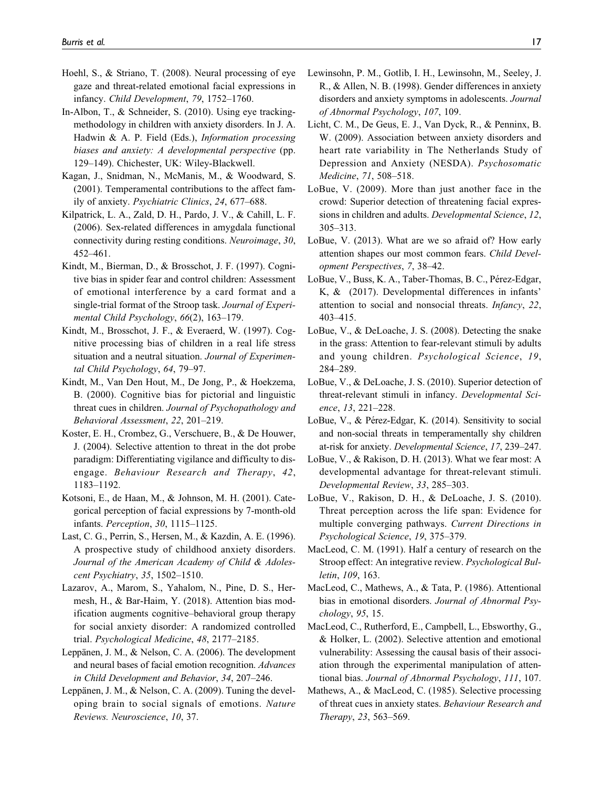- Hoehl, S., & Striano, T. (2008). Neural processing of eye gaze and threat-related emotional facial expressions in infancy. Child Development, 79, 1752–1760.
- In-Albon, T., & Schneider, S. (2010). Using eye trackingmethodology in children with anxiety disorders. In J. A. Hadwin & A. P. Field (Eds.), Information processing biases and anxiety: A developmental perspective (pp. 129–149). Chichester, UK: Wiley-Blackwell.
- Kagan, J., Snidman, N., McManis, M., & Woodward, S. (2001). Temperamental contributions to the affect family of anxiety. Psychiatric Clinics, 24, 677–688.
- Kilpatrick, L. A., Zald, D. H., Pardo, J. V., & Cahill, L. F. (2006). Sex-related differences in amygdala functional connectivity during resting conditions. Neuroimage, 30, 452–461.
- Kindt, M., Bierman, D., & Brosschot, J. F. (1997). Cognitive bias in spider fear and control children: Assessment of emotional interference by a card format and a single-trial format of the Stroop task. Journal of Experimental Child Psychology, 66(2), 163–179.
- Kindt, M., Brosschot, J. F., & Everaerd, W. (1997). Cognitive processing bias of children in a real life stress situation and a neutral situation. Journal of Experimental Child Psychology, 64, 79–97.
- Kindt, M., Van Den Hout, M., De Jong, P., & Hoekzema, B. (2000). Cognitive bias for pictorial and linguistic threat cues in children. Journal of Psychopathology and Behavioral Assessment, 22, 201–219.
- Koster, E. H., Crombez, G., Verschuere, B., & De Houwer, J. (2004). Selective attention to threat in the dot probe paradigm: Differentiating vigilance and difficulty to disengage. Behaviour Research and Therapy, 42, 1183–1192.
- Kotsoni, E., de Haan, M., & Johnson, M. H. (2001). Categorical perception of facial expressions by 7-month-old infants. Perception, 30, 1115–1125.
- Last, C. G., Perrin, S., Hersen, M., & Kazdin, A. E. (1996). A prospective study of childhood anxiety disorders. Journal of the American Academy of Child & Adolescent Psychiatry, 35, 1502–1510.
- Lazarov, A., Marom, S., Yahalom, N., Pine, D. S., Hermesh, H., & Bar-Haim, Y. (2018). Attention bias modification augments cognitive–behavioral group therapy for social anxiety disorder: A randomized controlled trial. Psychological Medicine, 48, 2177–2185.
- Leppänen, J. M., & Nelson, C. A. (2006). The development and neural bases of facial emotion recognition. Advances in Child Development and Behavior, 34, 207–246.
- Leppänen, J. M., & Nelson, C. A. (2009). Tuning the developing brain to social signals of emotions. Nature Reviews. Neuroscience, 10, 37.
- Lewinsohn, P. M., Gotlib, I. H., Lewinsohn, M., Seeley, J. R., & Allen, N. B. (1998). Gender differences in anxiety disorders and anxiety symptoms in adolescents. Journal of Abnormal Psychology, 107, 109.
- Licht, C. M., De Geus, E. J., Van Dyck, R., & Penninx, B. W. (2009). Association between anxiety disorders and heart rate variability in The Netherlands Study of Depression and Anxiety (NESDA). Psychosomatic Medicine, 71, 508–518.
- LoBue, V. (2009). More than just another face in the crowd: Superior detection of threatening facial expressions in children and adults. Developmental Science, 12, 305–313.
- LoBue, V. (2013). What are we so afraid of? How early attention shapes our most common fears. Child Development Perspectives, 7, 38–42.
- LoBue, V., Buss, K. A., Taber-Thomas, B. C., Pérez-Edgar, K, & (2017). Developmental differences in infants' attention to social and nonsocial threats. Infancy, 22, 403–415.
- LoBue, V., & DeLoache, J. S. (2008). Detecting the snake in the grass: Attention to fear-relevant stimuli by adults and young children. Psychological Science, 19, 284–289.
- LoBue, V., & DeLoache, J. S. (2010). Superior detection of threat-relevant stimuli in infancy. Developmental Science, 13, 221–228.
- LoBue, V., & Pérez-Edgar, K. (2014). Sensitivity to social and non-social threats in temperamentally shy children at-risk for anxiety. Developmental Science, 17, 239–247.
- LoBue, V., & Rakison, D. H. (2013). What we fear most: A developmental advantage for threat-relevant stimuli. Developmental Review, 33, 285–303.
- LoBue, V., Rakison, D. H., & DeLoache, J. S. (2010). Threat perception across the life span: Evidence for multiple converging pathways. Current Directions in Psychological Science, 19, 375–379.
- MacLeod, C. M. (1991). Half a century of research on the Stroop effect: An integrative review. Psychological Bulletin, 109, 163.
- MacLeod, C., Mathews, A., & Tata, P. (1986). Attentional bias in emotional disorders. Journal of Abnormal Psychology, 95, 15.
- MacLeod, C., Rutherford, E., Campbell, L., Ebsworthy, G., & Holker, L. (2002). Selective attention and emotional vulnerability: Assessing the causal basis of their association through the experimental manipulation of attentional bias. Journal of Abnormal Psychology, 111, 107.
- Mathews, A., & MacLeod, C. (1985). Selective processing of threat cues in anxiety states. Behaviour Research and Therapy, 23, 563–569.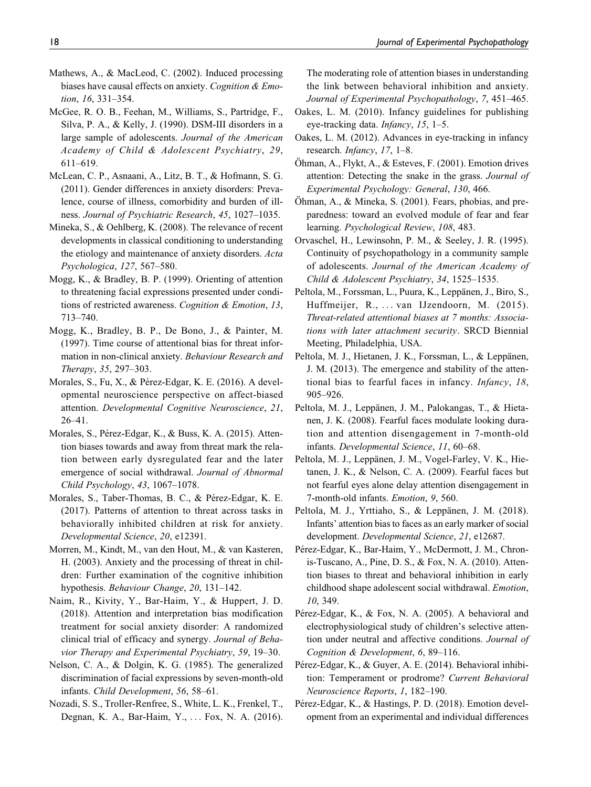- Mathews, A., & MacLeod, C. (2002). Induced processing biases have causal effects on anxiety. Cognition & Emotion, 16, 331–354.
- McGee, R. O. B., Feehan, M., Williams, S., Partridge, F., Silva, P. A., & Kelly, J. (1990). DSM-III disorders in a large sample of adolescents. Journal of the American Academy of Child & Adolescent Psychiatry, 29, 611–619.
- McLean, C. P., Asnaani, A., Litz, B. T., & Hofmann, S. G. (2011). Gender differences in anxiety disorders: Prevalence, course of illness, comorbidity and burden of illness. Journal of Psychiatric Research, 45, 1027–1035.
- Mineka, S., & Oehlberg, K. (2008). The relevance of recent developments in classical conditioning to understanding the etiology and maintenance of anxiety disorders. Acta Psychologica, 127, 567–580.
- Mogg, K., & Bradley, B. P. (1999). Orienting of attention to threatening facial expressions presented under conditions of restricted awareness. Cognition & Emotion, 13, 713–740.
- Mogg, K., Bradley, B. P., De Bono, J., & Painter, M. (1997). Time course of attentional bias for threat information in non-clinical anxiety. Behaviour Research and Therapy, 35, 297–303.
- Morales, S., Fu, X., & Pérez-Edgar, K. E. (2016). A developmental neuroscience perspective on affect-biased attention. Developmental Cognitive Neuroscience, 21, 26–41.
- Morales, S., Pérez-Edgar, K., & Buss, K. A. (2015). Attention biases towards and away from threat mark the relation between early dysregulated fear and the later emergence of social withdrawal. Journal of Abnormal Child Psychology, 43, 1067–1078.
- Morales, S., Taber-Thomas, B. C., & Pérez-Edgar, K. E. (2017). Patterns of attention to threat across tasks in behaviorally inhibited children at risk for anxiety. Developmental Science, 20, e12391.
- Morren, M., Kindt, M., van den Hout, M., & van Kasteren, H. (2003). Anxiety and the processing of threat in children: Further examination of the cognitive inhibition hypothesis. Behaviour Change, 20, 131–142.
- Naim, R., Kivity, Y., Bar-Haim, Y., & Huppert, J. D. (2018). Attention and interpretation bias modification treatment for social anxiety disorder: A randomized clinical trial of efficacy and synergy. Journal of Behavior Therapy and Experimental Psychiatry, 59, 19–30.
- Nelson, C. A., & Dolgin, K. G. (1985). The generalized discrimination of facial expressions by seven-month-old infants. Child Development, 56, 58–61.
- Nozadi, S. S., Troller-Renfree, S., White, L. K., Frenkel, T., Degnan, K. A., Bar-Haim, Y., ... Fox, N. A. (2016).

The moderating role of attention biases in understanding the link between behavioral inhibition and anxiety. Journal of Experimental Psychopathology, 7, 451–465.

- Oakes, L. M. (2010). Infancy guidelines for publishing eye-tracking data. *Infancy*, 15, 1–5.
- Oakes, L. M. (2012). Advances in eye-tracking in infancy research. Infancy, 17, 1–8.
- $\ddot{\text{Ohman}}$ , A., Flykt, A., & Esteves, F. (2001). Emotion drives attention: Detecting the snake in the grass. Journal of Experimental Psychology: General, 130, 466.
- $\ddot{\text{Ohman}}$ , A., & Mineka, S. (2001). Fears, phobias, and preparedness: toward an evolved module of fear and fear learning. Psychological Review, 108, 483.
- Orvaschel, H., Lewinsohn, P. M., & Seeley, J. R. (1995). Continuity of psychopathology in a community sample of adolescents. Journal of the American Academy of Child & Adolescent Psychiatry, 34, 1525–1535.
- Peltola, M., Forssman, L., Puura, K., Leppänen, J., Biro, S., Huffmeijer, R., ... van IJzendoorn, M. (2015). Threat-related attentional biases at 7 months: Associations with later attachment security. SRCD Biennial Meeting, Philadelphia, USA.
- Peltola, M. J., Hietanen, J. K., Forssman, L., & Leppänen, J. M. (2013). The emergence and stability of the attentional bias to fearful faces in infancy. Infancy, 18, 905–926.
- Peltola, M. J., Leppänen, J. M., Palokangas, T., & Hietanen, J. K. (2008). Fearful faces modulate looking duration and attention disengagement in 7-month-old infants. Developmental Science, 11, 60–68.
- Peltola, M. J., Leppänen, J. M., Vogel-Farley, V. K., Hietanen, J. K., & Nelson, C. A. (2009). Fearful faces but not fearful eyes alone delay attention disengagement in 7-month-old infants. Emotion, 9, 560.
- Peltola, M. J., Yrttiaho, S., & Leppänen, J. M. (2018). Infants' attention bias to faces as an early marker of social development. Developmental Science, 21, e12687.
- Pérez-Edgar, K., Bar-Haim, Y., McDermott, J. M., Chronis-Tuscano, A., Pine, D. S., & Fox, N. A. (2010). Attention biases to threat and behavioral inhibition in early childhood shape adolescent social withdrawal. Emotion, 10, 349.
- Pérez-Edgar, K., & Fox, N. A. (2005). A behavioral and electrophysiological study of children's selective attention under neutral and affective conditions. Journal of Cognition & Development, 6, 89–116.
- Pérez-Edgar, K., & Guyer, A. E. (2014). Behavioral inhibition: Temperament or prodrome? Current Behavioral Neuroscience Reports, 1, 182–190.
- Pérez-Edgar, K., & Hastings, P. D. (2018). Emotion development from an experimental and individual differences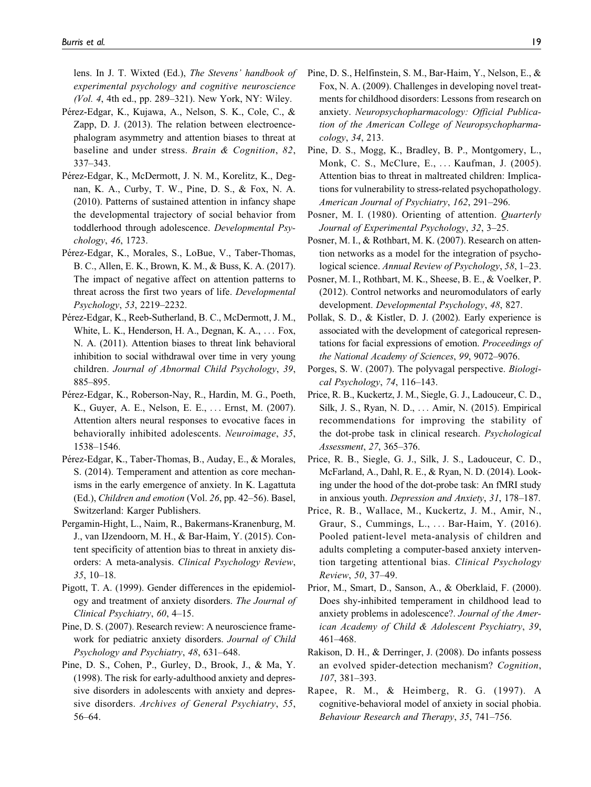lens. In J. T. Wixted (Ed.), The Stevens' handbook of experimental psychology and cognitive neuroscience (Vol. 4, 4th ed., pp. 289–321). New York, NY: Wiley.

- Pérez-Edgar, K., Kujawa, A., Nelson, S. K., Cole, C., & Zapp, D. J. (2013). The relation between electroencephalogram asymmetry and attention biases to threat at baseline and under stress. Brain & Cognition, 82, 337–343.
- Pérez-Edgar, K., McDermott, J. N. M., Korelitz, K., Degnan, K. A., Curby, T. W., Pine, D. S., & Fox, N. A. (2010). Patterns of sustained attention in infancy shape the developmental trajectory of social behavior from toddlerhood through adolescence. Developmental Psychology, 46, 1723.
- Pérez-Edgar, K., Morales, S., LoBue, V., Taber-Thomas, B. C., Allen, E. K., Brown, K. M., & Buss, K. A. (2017). The impact of negative affect on attention patterns to threat across the first two years of life. Developmental Psychology, 53, 2219–2232.
- Pérez-Edgar, K., Reeb-Sutherland, B. C., McDermott, J. M., White, L. K., Henderson, H. A., Degnan, K. A., ... Fox, N. A. (2011). Attention biases to threat link behavioral inhibition to social withdrawal over time in very young children. Journal of Abnormal Child Psychology, 39, 885–895.
- Pérez-Edgar, K., Roberson-Nay, R., Hardin, M. G., Poeth, K., Guyer, A. E., Nelson, E. E., ... Ernst, M. (2007). Attention alters neural responses to evocative faces in behaviorally inhibited adolescents. Neuroimage, 35, 1538–1546.
- Pérez-Edgar, K., Taber-Thomas, B., Auday, E., & Morales, S. (2014). Temperament and attention as core mechanisms in the early emergence of anxiety. In K. Lagattuta (Ed.), Children and emotion (Vol. 26, pp. 42–56). Basel, Switzerland: Karger Publishers.
- Pergamin-Hight, L., Naim, R., Bakermans-Kranenburg, M. J., van IJzendoorn, M. H., & Bar-Haim, Y. (2015). Content specificity of attention bias to threat in anxiety disorders: A meta-analysis. Clinical Psychology Review, 35, 10–18.
- Pigott, T. A. (1999). Gender differences in the epidemiology and treatment of anxiety disorders. The Journal of Clinical Psychiatry, 60, 4–15.
- Pine, D. S. (2007). Research review: A neuroscience framework for pediatric anxiety disorders. Journal of Child Psychology and Psychiatry, 48, 631–648.
- Pine, D. S., Cohen, P., Gurley, D., Brook, J., & Ma, Y. (1998). The risk for early-adulthood anxiety and depressive disorders in adolescents with anxiety and depressive disorders. Archives of General Psychiatry, 55, 56–64.
- Pine, D. S., Helfinstein, S. M., Bar-Haim, Y., Nelson, E., & Fox, N. A. (2009). Challenges in developing novel treatments for childhood disorders: Lessons from research on anxiety. Neuropsychopharmacology: Official Publication of the American College of Neuropsychopharmacology, 34, 213.
- Pine, D. S., Mogg, K., Bradley, B. P., Montgomery, L., Monk, C. S., McClure, E., ... Kaufman, J. (2005). Attention bias to threat in maltreated children: Implications for vulnerability to stress-related psychopathology. American Journal of Psychiatry, 162, 291–296.
- Posner, M. I. (1980). Orienting of attention. *Quarterly* Journal of Experimental Psychology, 32, 3–25.
- Posner, M. I., & Rothbart, M. K. (2007). Research on attention networks as a model for the integration of psychological science. Annual Review of Psychology, 58, 1–23.
- Posner, M. I., Rothbart, M. K., Sheese, B. E., & Voelker, P. (2012). Control networks and neuromodulators of early development. Developmental Psychology, 48, 827.
- Pollak, S. D., & Kistler, D. J. (2002). Early experience is associated with the development of categorical representations for facial expressions of emotion. Proceedings of the National Academy of Sciences, 99, 9072–9076.
- Porges, S. W. (2007). The polyvagal perspective. Biological Psychology, 74, 116–143.
- Price, R. B., Kuckertz, J. M., Siegle, G. J., Ladouceur, C. D., Silk, J. S., Ryan, N. D., ... Amir, N. (2015). Empirical recommendations for improving the stability of the dot-probe task in clinical research. Psychological Assessment, 27, 365–376.
- Price, R. B., Siegle, G. J., Silk, J. S., Ladouceur, C. D., McFarland, A., Dahl, R. E., & Ryan, N. D. (2014). Looking under the hood of the dot-probe task: An fMRI study in anxious youth. Depression and Anxiety, 31, 178–187.
- Price, R. B., Wallace, M., Kuckertz, J. M., Amir, N., Graur, S., Cummings, L., ... Bar-Haim, Y. (2016). Pooled patient-level meta-analysis of children and adults completing a computer-based anxiety intervention targeting attentional bias. Clinical Psychology Review, 50, 37–49.
- Prior, M., Smart, D., Sanson, A., & Oberklaid, F. (2000). Does shy-inhibited temperament in childhood lead to anxiety problems in adolescence?. Journal of the American Academy of Child & Adolescent Psychiatry, 39, 461–468.
- Rakison, D. H., & Derringer, J. (2008). Do infants possess an evolved spider-detection mechanism? Cognition, 107, 381–393.
- Rapee, R. M., & Heimberg, R. G. (1997). A cognitive-behavioral model of anxiety in social phobia. Behaviour Research and Therapy, 35, 741–756.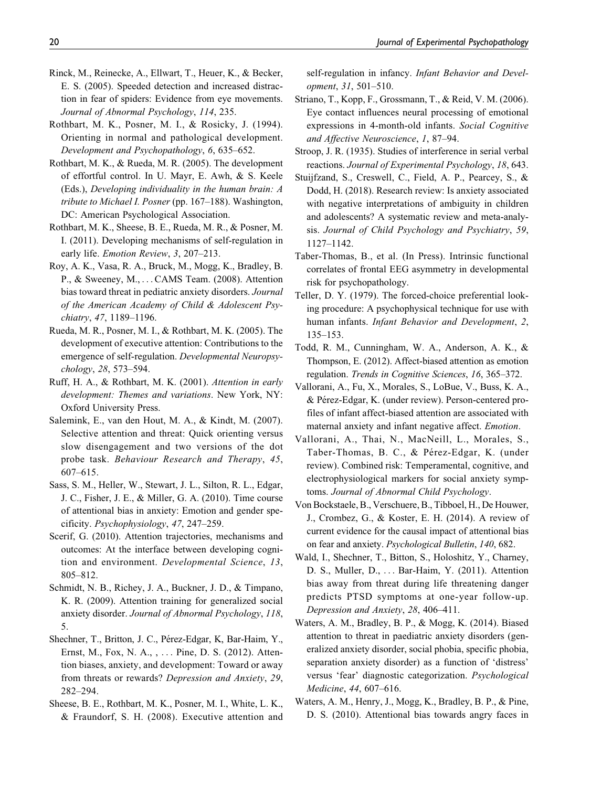- Rinck, M., Reinecke, A., Ellwart, T., Heuer, K., & Becker, E. S. (2005). Speeded detection and increased distraction in fear of spiders: Evidence from eye movements. Journal of Abnormal Psychology, 114, 235.
- Rothbart, M. K., Posner, M. I., & Rosicky, J. (1994). Orienting in normal and pathological development. Development and Psychopathology, 6, 635–652.
- Rothbart, M. K., & Rueda, M. R. (2005). The development of effortful control. In U. Mayr, E. Awh, & S. Keele (Eds.), Developing individuality in the human brain: A tribute to Michael I. Posner (pp. 167–188). Washington, DC: American Psychological Association.
- Rothbart, M. K., Sheese, B. E., Rueda, M. R., & Posner, M. I. (2011). Developing mechanisms of self-regulation in early life. Emotion Review, 3, 207–213.
- Roy, A. K., Vasa, R. A., Bruck, M., Mogg, K., Bradley, B. P., & Sweeney, M., ... CAMS Team. (2008). Attention bias toward threat in pediatric anxiety disorders. Journal of the American Academy of Child & Adolescent Psychiatry, 47, 1189–1196.
- Rueda, M. R., Posner, M. I., & Rothbart, M. K. (2005). The development of executive attention: Contributions to the emergence of self-regulation. Developmental Neuropsychology, 28, 573–594.
- Ruff, H. A., & Rothbart, M. K. (2001). Attention in early development: Themes and variations. New York, NY: Oxford University Press.
- Salemink, E., van den Hout, M. A., & Kindt, M. (2007). Selective attention and threat: Quick orienting versus slow disengagement and two versions of the dot probe task. Behaviour Research and Therapy, 45, 607–615.
- Sass, S. M., Heller, W., Stewart, J. L., Silton, R. L., Edgar, J. C., Fisher, J. E., & Miller, G. A. (2010). Time course of attentional bias in anxiety: Emotion and gender specificity. Psychophysiology, 47, 247–259.
- Scerif, G. (2010). Attention trajectories, mechanisms and outcomes: At the interface between developing cognition and environment. Developmental Science, 13, 805–812.
- Schmidt, N. B., Richey, J. A., Buckner, J. D., & Timpano, K. R. (2009). Attention training for generalized social anxiety disorder. Journal of Abnormal Psychology, 118, 5.
- Shechner, T., Britton, J. C., Pérez-Edgar, K., Bar-Haim, Y., Ernst, M., Fox, N. A., , ... Pine, D. S. (2012). Attention biases, anxiety, and development: Toward or away from threats or rewards? Depression and Anxiety, 29, 282–294.
- Sheese, B. E., Rothbart, M. K., Posner, M. I., White, L. K., & Fraundorf, S. H. (2008). Executive attention and

self-regulation in infancy. Infant Behavior and Development, 31, 501–510.

- Striano, T., Kopp, F., Grossmann, T., & Reid, V. M. (2006). Eye contact influences neural processing of emotional expressions in 4-month-old infants. Social Cognitive and Affective Neuroscience, 1, 87–94.
- Stroop, J. R. (1935). Studies of interference in serial verbal reactions. Journal of Experimental Psychology, 18, 643.
- Stuijfzand, S., Creswell, C., Field, A. P., Pearcey, S., & Dodd, H. (2018). Research review: Is anxiety associated with negative interpretations of ambiguity in children and adolescents? A systematic review and meta-analysis. Journal of Child Psychology and Psychiatry, 59, 1127–1142.
- Taber-Thomas, B., et al. (In Press). Intrinsic functional correlates of frontal EEG asymmetry in developmental risk for psychopathology.
- Teller, D. Y. (1979). The forced-choice preferential looking procedure: A psychophysical technique for use with human infants. Infant Behavior and Development, 2, 135–153.
- Todd, R. M., Cunningham, W. A., Anderson, A. K., & Thompson, E. (2012). Affect-biased attention as emotion regulation. Trends in Cognitive Sciences, 16, 365–372.
- Vallorani, A., Fu, X., Morales, S., LoBue, V., Buss, K. A., & Pérez-Edgar, K. (under review). Person-centered profiles of infant affect-biased attention are associated with maternal anxiety and infant negative affect. Emotion.
- Vallorani, A., Thai, N., MacNeill, L., Morales, S., Taber-Thomas, B. C., & Pérez-Edgar, K. (under review). Combined risk: Temperamental, cognitive, and electrophysiological markers for social anxiety symptoms. Journal of Abnormal Child Psychology.
- Von Bockstaele, B., Verschuere, B., Tibboel, H., De Houwer, J., Crombez, G., & Koster, E. H. (2014). A review of current evidence for the causal impact of attentional bias on fear and anxiety. Psychological Bulletin, 140, 682.
- Wald, I., Shechner, T., Bitton, S., Holoshitz, Y., Charney, D. S., Muller, D., ... Bar-Haim, Y. (2011). Attention bias away from threat during life threatening danger predicts PTSD symptoms at one-year follow-up. Depression and Anxiety, 28, 406–411.
- Waters, A. M., Bradley, B. P., & Mogg, K. (2014). Biased attention to threat in paediatric anxiety disorders (generalized anxiety disorder, social phobia, specific phobia, separation anxiety disorder) as a function of 'distress' versus 'fear' diagnostic categorization. Psychological Medicine, 44, 607–616.
- Waters, A. M., Henry, J., Mogg, K., Bradley, B. P., & Pine, D. S. (2010). Attentional bias towards angry faces in